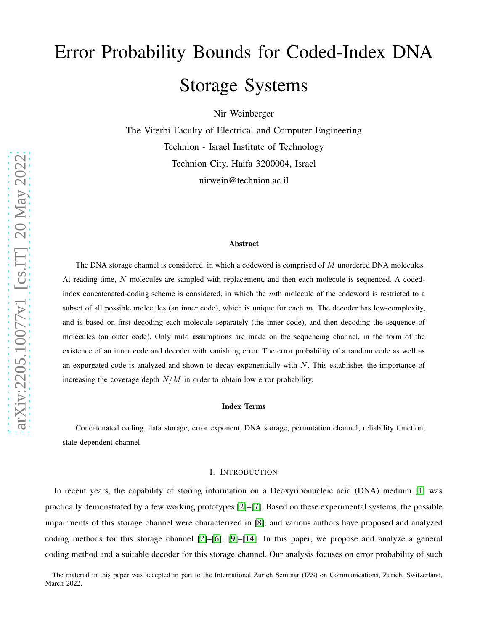# Error Probability Bounds for Coded-Index DNA Storage Systems

Nir Weinberger

The Viterbi Faculty of Electrical and Computer Engineering Technion - Israel Institute of Technology Technion City, Haifa 3200004, Israel nirwein@technion.ac.il

#### Abstract

The DNA storage channel is considered, in which a codeword is comprised of M unordered DNA molecules. At reading time, N molecules are sampled with replacement, and then each molecule is sequenced. A codedindex concatenated-coding scheme is considered, in which the mth molecule of the codeword is restricted to a subset of all possible molecules (an inner code), which is unique for each  $m$ . The decoder has low-complexity, and is based on first decoding each molecule separately (the inner code), and then decoding the sequence of molecules (an outer code). Only mild assumptions are made on the sequencing channel, in the form of the existence of an inner code and decoder with vanishing error. The error probability of a random code as well as an expurgated code is analyzed and shown to decay exponentially with  $N$ . This establishes the importance of increasing the coverage depth  $N/M$  in order to obtain low error probability.

# Index Terms

Concatenated coding, data storage, error exponent, DNA storage, permutation channel, reliability function, state-dependent channel.

## I. INTRODUCTION

In recent years, the capability of storing information on a Deoxyribonucleic acid (DNA) medium [\[1\]](#page-33-0) was practically demonstrated by a few working prototypes [\[2\]](#page-33-1)–[\[7\]](#page-34-0). Based on these experimental systems, the possible impairments of this storage channel were characterized in [\[8\]](#page-34-1), and various authors have proposed and analyzed coding methods for this storage channel [\[2\]](#page-33-1)–[\[6\]](#page-34-2), [\[9\]](#page-34-3)–[\[14\]](#page-34-4). In this paper, we propose and analyze a general coding method and a suitable decoder for this storage channel. Our analysis focuses on error probability of such

The material in this paper was accepted in part to the International Zurich Seminar (IZS) on Communications, Zurich, Switzerland, March 2022.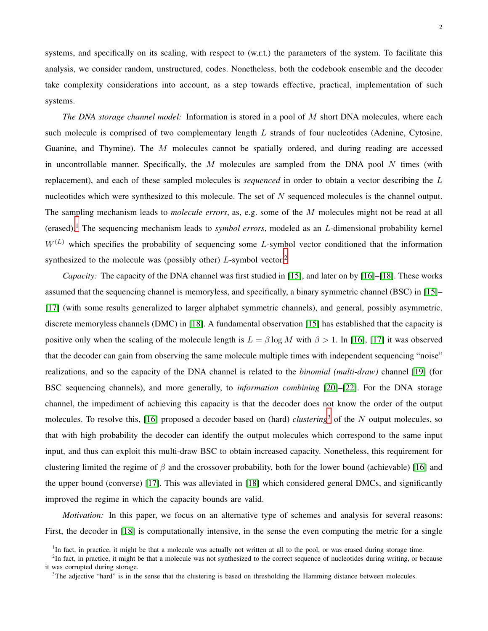systems, and specifically on its scaling, with respect to (w.r.t.) the parameters of the system. To facilitate this analysis, we consider random, unstructured, codes. Nonetheless, both the codebook ensemble and the decoder take complexity considerations into account, as a step towards effective, practical, implementation of such systems.

*The DNA storage channel model:* Information is stored in a pool of M short DNA molecules, where each such molecule is comprised of two complementary length L strands of four nucleotides (Adenine, Cytosine, Guanine, and Thymine). The M molecules cannot be spatially ordered, and during reading are accessed in uncontrollable manner. Specifically, the  $M$  molecules are sampled from the DNA pool  $N$  times (with replacement), and each of these sampled molecules is *sequenced* in order to obtain a vector describing the L nucleotides which were synthesized to this molecule. The set of  $N$  sequenced molecules is the channel output. The sampling mechanism leads to *molecule errors*, as, e.g. some of the M molecules might not be read at all (erased).[1](#page-1-0) The sequencing mechanism leads to *symbol errors*, modeled as an L-dimensional probability kernel  $W^{(L)}$  which specifies the probability of sequencing some L-symbol vector conditioned that the information synthesized to the molecule was (possibly other)  $L$ -symbol vector.<sup>[2](#page-1-1)</sup>

*Capacity:* The capacity of the DNA channel was first studied in [\[15\]](#page-34-5), and later on by [\[16\]](#page-34-6)–[\[18\]](#page-34-7). These works assumed that the sequencing channel is memoryless, and specifically, a binary symmetric channel (BSC) in [\[15\]](#page-34-5)– [\[17\]](#page-34-8) (with some results generalized to larger alphabet symmetric channels), and general, possibly asymmetric, discrete memoryless channels (DMC) in [\[18\]](#page-34-7). A fundamental observation [\[15\]](#page-34-5) has established that the capacity is positive only when the scaling of the molecule length is  $L = \beta \log M$  with  $\beta > 1$ . In [\[16\]](#page-34-6), [\[17\]](#page-34-8) it was observed that the decoder can gain from observing the same molecule multiple times with independent sequencing "noise" realizations, and so the capacity of the DNA channel is related to the *binomial (multi-draw)* channel [\[19\]](#page-34-9) (for BSC sequencing channels), and more generally, to *information combining* [\[20\]](#page-34-10)–[\[22\]](#page-34-11). For the DNA storage channel, the impediment of achieving this capacity is that the decoder does not know the order of the output molecules. To resolve this,  $[16]$  proposed a decoder based on (hard) *clustering*<sup>[3](#page-1-2)</sup> of the N output molecules, so that with high probability the decoder can identify the output molecules which correspond to the same input input, and thus can exploit this multi-draw BSC to obtain increased capacity. Nonetheless, this requirement for clustering limited the regime of  $\beta$  and the crossover probability, both for the lower bound (achievable) [\[16\]](#page-34-6) and the upper bound (converse) [\[17\]](#page-34-8). This was alleviated in [\[18\]](#page-34-7) which considered general DMCs, and significantly improved the regime in which the capacity bounds are valid.

*Motivation:* In this paper, we focus on an alternative type of schemes and analysis for several reasons: First, the decoder in [\[18\]](#page-34-7) is computationally intensive, in the sense the even computing the metric for a single

<span id="page-1-0"></span><sup>&</sup>lt;sup>1</sup>In fact, in practice, it might be that a molecule was actually not written at all to the pool, or was erased during storage time.

<sup>&</sup>lt;sup>2</sup>In fact, in practice, it might be that a molecule was not synthesized to the correct sequence of nucleotides during writing, or because it was corrupted during storage.

<span id="page-1-2"></span><span id="page-1-1"></span><sup>&</sup>lt;sup>3</sup>The adjective "hard" is in the sense that the clustering is based on thresholding the Hamming distance between molecules.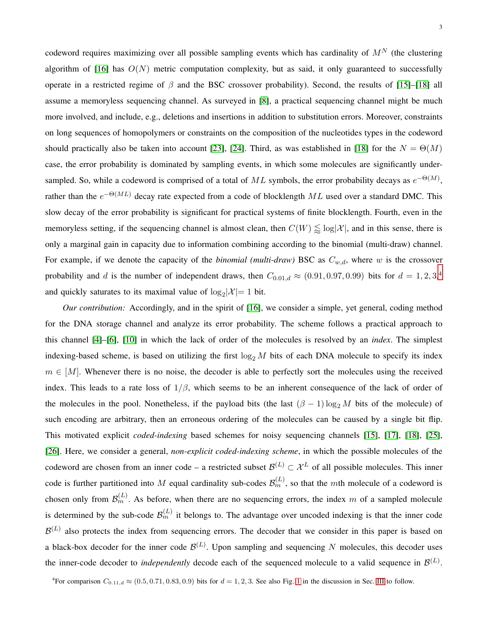3

codeword requires maximizing over all possible sampling events which has cardinality of  $M<sup>N</sup>$  (the clustering algorithm of [\[16\]](#page-34-6) has  $O(N)$  metric computation complexity, but as said, it only guaranteed to successfully operate in a restricted regime of  $\beta$  and the BSC crossover probability). Second, the results of [\[15\]](#page-34-5)–[\[18\]](#page-34-7) all assume a memoryless sequencing channel. As surveyed in [\[8\]](#page-34-1), a practical sequencing channel might be much more involved, and include, e.g., deletions and insertions in addition to substitution errors. Moreover, constraints on long sequences of homopolymers or constraints on the composition of the nucleotides types in the codeword should practically also be taken into account [\[23\]](#page-34-12), [\[24\]](#page-34-13). Third, as was established in [\[18\]](#page-34-7) for the  $N = \Theta(M)$ case, the error probability is dominated by sampling events, in which some molecules are significantly undersampled. So, while a codeword is comprised of a total of  $ML$  symbols, the error probability decays as  $e^{-\Theta(M)}$ , rather than the  $e^{-\Theta(ML)}$  decay rate expected from a code of blocklength  $ML$  used over a standard DMC. This slow decay of the error probability is significant for practical systems of finite blocklength. Fourth, even in the memoryless setting, if the sequencing channel is almost clean, then  $C(W) \lessapprox \log |\mathcal{X}|$ , and in this sense, there is only a marginal gain in capacity due to information combining according to the binomial (multi-draw) channel. For example, if we denote the capacity of the *binomial (multi-draw)* BSC as  $C_{w,d}$ , where w is the crossover probability and d is the number of independent draws, then  $C_{0.01,d} \approx (0.91, 0.97, 0.99)$  bits for  $d = 1, 2, 3, 4$  $d = 1, 2, 3, 4$ and quickly saturates to its maximal value of  $log_2 |\mathcal{X}| = 1$  bit.

*Our contribution:* Accordingly, and in the spirit of [\[16\]](#page-34-6), we consider a simple, yet general, coding method for the DNA storage channel and analyze its error probability. The scheme follows a practical approach to this channel [\[4\]](#page-33-2)–[\[6\]](#page-34-2), [\[10\]](#page-34-14) in which the lack of order of the molecules is resolved by an *index*. The simplest indexing-based scheme, is based on utilizing the first  $\log_2 M$  bits of each DNA molecule to specify its index  $m \in [M]$ . Whenever there is no noise, the decoder is able to perfectly sort the molecules using the received index. This leads to a rate loss of  $1/\beta$ , which seems to be an inherent consequence of the lack of order of the molecules in the pool. Nonetheless, if the payload bits (the last  $(\beta - 1) \log_2 M$  bits of the molecule) of such encoding are arbitrary, then an erroneous ordering of the molecules can be caused by a single bit flip. This motivated explicit *coded-indexing* based schemes for noisy sequencing channels [\[15\]](#page-34-5), [\[17\]](#page-34-8), [\[18\]](#page-34-7), [\[25\]](#page-34-15), [\[26\]](#page-34-16). Here, we consider a general, *non-explicit coded-indexing scheme*, in which the possible molecules of the codeword are chosen from an inner code – a restricted subset  $\mathcal{B}^{(L)} \subset \mathcal{X}^{L}$  of all possible molecules. This inner code is further partitioned into M equal cardinality sub-codes  $\mathcal{B}_m^{(L)}$ , so that the mth molecule of a codeword is chosen only from  $\mathcal{B}_m^{(L)}$ . As before, when there are no sequencing errors, the index m of a sampled molecule is determined by the sub-code  $\mathcal{B}_m^{(L)}$  it belongs to. The advantage over uncoded indexing is that the inner code  $\mathcal{B}^{(L)}$  also protects the index from sequencing errors. The decoder that we consider in this paper is based on a black-box decoder for the inner code  $\mathcal{B}^{(L)}$ . Upon sampling and sequencing N molecules, this decoder uses the inner-code decoder to *independently* decode each of the sequenced molecule to a valid sequence in  $\mathcal{B}^{(L)}$ .

<span id="page-2-0"></span><sup>4</sup>For comparison  $C_{0.11,d} \approx (0.5, 0.71, 0.83, 0.9)$  bits for  $d = 1, 2, 3$  $d = 1, 2, 3$  $d = 1, 2, 3$ . See also Fig. 1 in the discussion in Sec. [III](#page-8-0) to follow.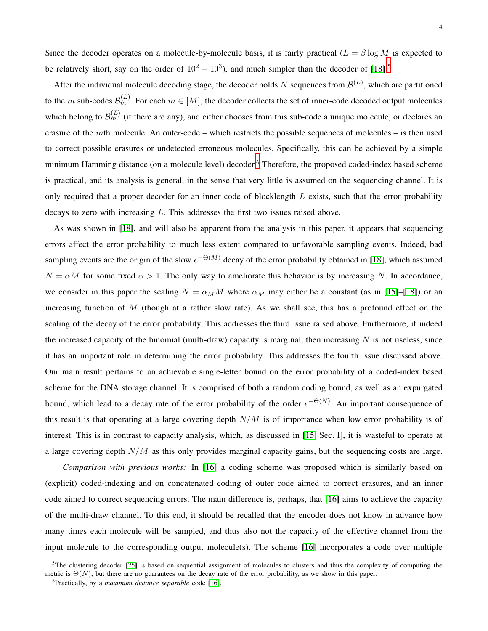Since the decoder operates on a molecule-by-molecule basis, it is fairly practical ( $L = \beta \log M$  is expected to be relatively short, say on the order of  $10^2 - 10^3$ ), and much simpler than the decoder of [\[18\]](#page-34-7).<sup>[5](#page-3-0)</sup>

After the individual molecule decoding stage, the decoder holds N sequences from  $\mathcal{B}^{(L)}$ , which are partitioned to the m sub-codes  $\mathcal{B}_m^{(L)}$ . For each  $m \in [M]$ , the decoder collects the set of inner-code decoded output molecules which belong to  $\mathcal{B}_m^{(L)}$  (if there are any), and either chooses from this sub-code a unique molecule, or declares an erasure of the mth molecule. An outer-code – which restricts the possible sequences of molecules – is then used to correct possible erasures or undetected erroneous molecules. Specifically, this can be achieved by a simple minimum Hamming distance (on a molecule level) decoder.<sup>[6](#page-3-1)</sup> Therefore, the proposed coded-index based scheme is practical, and its analysis is general, in the sense that very little is assumed on the sequencing channel. It is only required that a proper decoder for an inner code of blocklength  $L$  exists, such that the error probability decays to zero with increasing L. This addresses the first two issues raised above.

As was shown in [\[18\]](#page-34-7), and will also be apparent from the analysis in this paper, it appears that sequencing errors affect the error probability to much less extent compared to unfavorable sampling events. Indeed, bad sampling events are the origin of the slow  $e^{-\Theta(M)}$  decay of the error probability obtained in [\[18\]](#page-34-7), which assumed  $N = \alpha M$  for some fixed  $\alpha > 1$ . The only way to ameliorate this behavior is by increasing N. In accordance, we consider in this paper the scaling  $N = \alpha_M M$  where  $\alpha_M$  may either be a constant (as in [\[15\]](#page-34-5)–[\[18\]](#page-34-7)) or an increasing function of  $M$  (though at a rather slow rate). As we shall see, this has a profound effect on the scaling of the decay of the error probability. This addresses the third issue raised above. Furthermore, if indeed the increased capacity of the binomial (multi-draw) capacity is marginal, then increasing  $N$  is not useless, since it has an important role in determining the error probability. This addresses the fourth issue discussed above. Our main result pertains to an achievable single-letter bound on the error probability of a coded-index based scheme for the DNA storage channel. It is comprised of both a random coding bound, as well as an expurgated bound, which lead to a decay rate of the error probability of the order  $e^{-\Theta(N)}$ . An important consequence of this result is that operating at a large covering depth  $N/M$  is of importance when low error probability is of interest. This is in contrast to capacity analysis, which, as discussed in [\[15,](#page-34-5) Sec. I], it is wasteful to operate at a large covering depth  $N/M$  as this only provides marginal capacity gains, but the sequencing costs are large.

*Comparison with previous works:* In [\[16\]](#page-34-6) a coding scheme was proposed which is similarly based on (explicit) coded-indexing and on concatenated coding of outer code aimed to correct erasures, and an inner code aimed to correct sequencing errors. The main difference is, perhaps, that [\[16\]](#page-34-6) aims to achieve the capacity of the multi-draw channel. To this end, it should be recalled that the encoder does not know in advance how many times each molecule will be sampled, and thus also not the capacity of the effective channel from the input molecule to the corresponding output molecule(s). The scheme [\[16\]](#page-34-6) incorporates a code over multiple

 $5$ The clustering decoder [\[25\]](#page-34-15) is based on sequential assignment of molecules to clusters and thus the complexity of computing the metric is  $\Theta(N)$ , but there are no guarantees on the decay rate of the error probability, as we show in this paper.

<span id="page-3-1"></span><span id="page-3-0"></span><sup>6</sup>Practically, by a *maximum distance separable* code [\[16\]](#page-34-6).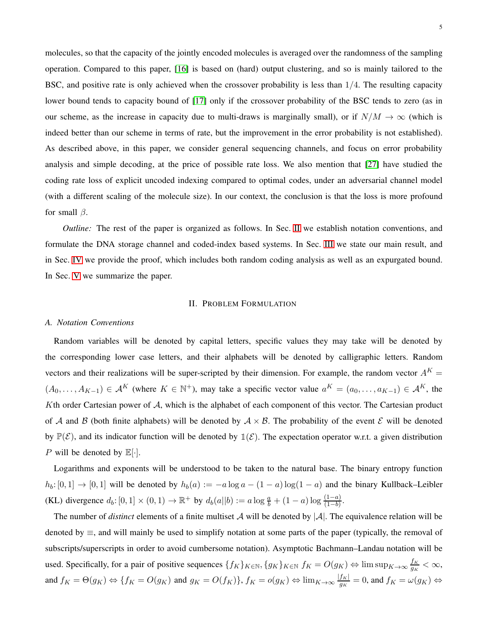molecules, so that the capacity of the jointly encoded molecules is averaged over the randomness of the sampling operation. Compared to this paper, [\[16\]](#page-34-6) is based on (hard) output clustering, and so is mainly tailored to the BSC, and positive rate is only achieved when the crossover probability is less than 1/4. The resulting capacity lower bound tends to capacity bound of [\[17\]](#page-34-8) only if the crossover probability of the BSC tends to zero (as in our scheme, as the increase in capacity due to multi-draws is marginally small), or if  $N/M \to \infty$  (which is indeed better than our scheme in terms of rate, but the improvement in the error probability is not established). As described above, in this paper, we consider general sequencing channels, and focus on error probability analysis and simple decoding, at the price of possible rate loss. We also mention that [\[27\]](#page-35-0) have studied the coding rate loss of explicit uncoded indexing compared to optimal codes, under an adversarial channel model (with a different scaling of the molecule size). In our context, the conclusion is that the loss is more profound for small  $\beta$ .

*Outline:* The rest of the paper is organized as follows. In Sec. [II](#page-4-0) we establish notation conventions, and formulate the DNA storage channel and coded-index based systems. In Sec. [III](#page-8-0) we state our main result, and in Sec. [IV](#page-11-1) we provide the proof, which includes both random coding analysis as well as an expurgated bound. In Sec. [V](#page-31-0) we summarize the paper.

# II. PROBLEM FORMULATION

# <span id="page-4-0"></span>*A. Notation Conventions*

Random variables will be denoted by capital letters, specific values they may take will be denoted by the corresponding lower case letters, and their alphabets will be denoted by calligraphic letters. Random vectors and their realizations will be super-scripted by their dimension. For example, the random vector  $A^K =$  $(A_0, \ldots, A_{K-1}) \in \mathcal{A}^K$  (where  $K \in \mathbb{N}^+$ ), may take a specific vector value  $a^K = (a_0, \ldots, a_{K-1}) \in \mathcal{A}^K$ , the Kth order Cartesian power of A, which is the alphabet of each component of this vector. The Cartesian product of A and B (both finite alphabets) will be denoted by  $A \times B$ . The probability of the event E will be denoted by  $\mathbb{P}(\mathcal{E})$ , and its indicator function will be denoted by  $\mathbb{1}(\mathcal{E})$ . The expectation operator w.r.t. a given distribution P will be denoted by  $\mathbb{E}[\cdot]$ .

Logarithms and exponents will be understood to be taken to the natural base. The binary entropy function  $h_b: [0, 1] \to [0, 1]$  will be denoted by  $h_b(a) := -a \log a - (1 - a) \log(1 - a)$  and the binary Kullback–Leibler (KL) divergence  $d_b: [0, 1] \times (0, 1) \to \mathbb{R}^+$  by  $d_b(a||b) := a \log \frac{a}{b} + (1 - a) \log \frac{(1 - a)}{(1 - b)}$ .

The number of *distinct* elements of a finite multiset A will be denoted by  $|\mathcal{A}|$ . The equivalence relation will be denoted by ≡, and will mainly be used to simplify notation at some parts of the paper (typically, the removal of subscripts/superscripts in order to avoid cumbersome notation). Asymptotic Bachmann–Landau notation will be used. Specifically, for a pair of positive sequences  $\{f_K\}_{K\in\mathbb{N}}$ ,  $\{g_K\}_{K\in\mathbb{N}}$   $f_K = O(g_K) \Leftrightarrow \limsup_{K\to\infty} \frac{f_K}{g_K}$  $\frac{JK}{g_K} < \infty$ , and  $f_K = \Theta(g_K) \Leftrightarrow \{f_K = O(g_K) \text{ and } g_K = O(f_K)\}, f_K = o(g_K) \Leftrightarrow \lim_{K \to \infty} \frac{|f_K|}{g_K} = 0$ , and  $f_K = \omega(g_K) \Leftrightarrow \omega(g_K) \Leftrightarrow \omega(g_K) \Leftrightarrow \omega(g_K) \Leftrightarrow \omega(g_K) \Leftrightarrow \omega(g_K) \Leftrightarrow \omega(g_K) \Leftrightarrow \omega(g_K) \Leftrightarrow \omega(g_K) \Leftrightarrow \omega(g_K) \Leftrightarrow \omega(g_K) \Leftrightarrow \omega(g_K) \Leftrightarrow \omega(g_K) \Leftrightarrow \omega(g_K)$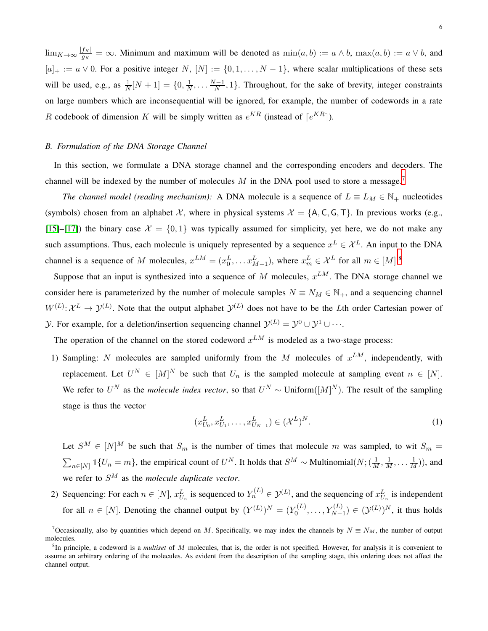$\lim_{K\to\infty} \frac{|f_K|}{g_K} = \infty$ . Minimum and maximum will be denoted as  $\min(a, b) := a \wedge b$ ,  $\max(a, b) := a \vee b$ , and  $[a]_+ := a \vee 0$ . For a positive integer N,  $[N] := \{0, 1, \ldots, N-1\}$ , where scalar multiplications of these sets will be used, e.g., as  $\frac{1}{N}[N+1] = \{0, \frac{1}{N}\}$  $\frac{1}{N}, \ldots \frac{N-1}{N}, 1$ . Throughout, for the sake of brevity, integer constraints on large numbers which are inconsequential will be ignored, for example, the number of codewords in a rate R codebook of dimension K will be simply written as  $e^{KR}$  (instead of  $\lceil e^{KR} \rceil$ ).

# <span id="page-5-2"></span>*B. Formulation of the DNA Storage Channel*

In this section, we formulate a DNA storage channel and the corresponding encoders and decoders. The channel will be indexed by the number of molecules  $M$  in the DNA pool used to store a message.<sup>[7](#page-5-0)</sup>

*The channel model (reading mechanism):* A DNA molecule is a sequence of  $L \equiv L_M \in \mathbb{N}_+$  nucleotides (symbols) chosen from an alphabet  $X$ , where in physical systems  $X = \{A, C, G, T\}$ . In previous works (e.g., [\[15\]](#page-34-5)–[\[17\]](#page-34-8)) the binary case  $\mathcal{X} = \{0, 1\}$  was typically assumed for simplicity, yet here, we do not make any such assumptions. Thus, each molecule is uniquely represented by a sequence  $x^L \in \mathcal{X}^L$ . An input to the DNA channel is a sequence of M molecules,  $x^{LM} = (x_0^L, \dots, x_{M-1}^L)$ , where  $x_m^L \in \mathcal{X}^L$  for all  $m \in [M]^8$  $m \in [M]^8$ 

Suppose that an input is synthesized into a sequence of M molecules,  $x^{LM}$ . The DNA storage channel we consider here is parameterized by the number of molecule samples  $N \equiv N_M \in \mathbb{N}_+$ , and a sequencing channel  $W^{(L)}: \mathcal{X}^L \to \mathcal{Y}^{(L)}$ . Note that the output alphabet  $\mathcal{Y}^{(L)}$  does not have to be the Lth order Cartesian power of  $\mathcal{Y}$ . For example, for a deletion/insertion sequencing channel  $\mathcal{Y}^{(L)} = \mathcal{Y}^0 \cup \mathcal{Y}^1 \cup \cdots$ .

The operation of the channel on the stored codeword  $x^{LM}$  is modeled as a two-stage process:

1) Sampling: N molecules are sampled uniformly from the M molecules of  $x^{LM}$ , independently, with replacement. Let  $U^N \in [M]^N$  be such that  $U_n$  is the sampled molecule at sampling event  $n \in [N]$ . We refer to  $U^N$  as the *molecule index vector*, so that  $U^N \sim$  Uniform( $[M]^N$ ). The result of the sampling stage is thus the vector

$$
(x_{U_0}^L, x_{U_1}^L, \dots, x_{U_{N-1}}^L) \in (\mathcal{X}^L)^N.
$$
\n<sup>(1)</sup>

Let  $S^M \in [N]^M$  be such that  $S_m$  is the number of times that molecule m was sampled, to wit  $S_m =$  $\sum_{n\in[N]} \mathbb{1}\{U_n=m\}$ , the empirical count of  $U^N$ . It holds that  $S^M \sim \text{Multinomial}(N; (\frac{1}{M}, \frac{1}{M}, \dots, \frac{1}{M}))$ , and we refer to S<sup>M</sup> as the *molecule duplicate vector*.

2) Sequencing: For each  $n \in [N]$ ,  $x_{U_n}^L$  is sequenced to  $Y_n^{(L)} \in \mathcal{Y}^{(L)}$ , and the sequencing of  $x_{U_n}^L$  is independent for all  $n \in [N]$ . Denoting the channel output by  $(Y^{(L)})^N = (Y_0^{(L)}$  $Y_0^{(L)}, \ldots, Y_{N-1}^{(L)}) \in (\mathcal{Y}^{(L)})^N$ , it thus holds

<span id="page-5-0"></span><sup>&</sup>lt;sup>7</sup>Occasionally, also by quantities which depend on M. Specifically, we may index the channels by  $N = N_M$ , the number of output molecules.

<span id="page-5-1"></span><sup>8</sup> In principle, a codeword is a *multiset* of M molecules, that is, the order is not specified. However, for analysis it is convenient to assume an arbitrary ordering of the molecules. As evident from the description of the sampling stage, this ordering does not affect the channel output.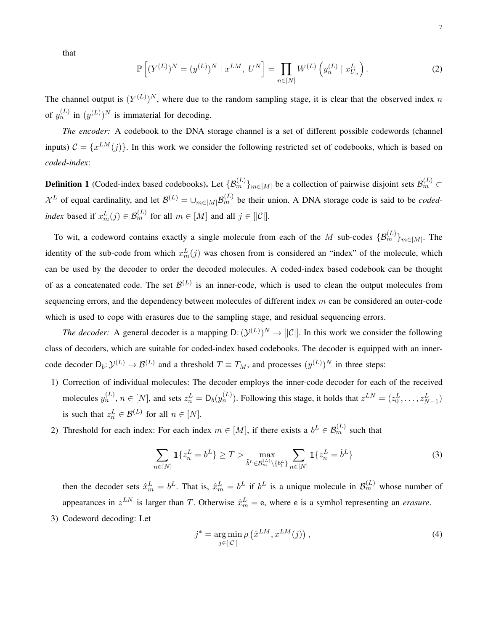that

$$
\mathbb{P}\left[ (Y^{(L)})^N = (y^{(L)})^N \mid x^{LM}, \ U^N \right] = \prod_{n \in [N]} W^{(L)} \left( y_n^{(L)} \mid x_{U_n}^L \right). \tag{2}
$$

The channel output is  $(Y^{(L)})^N$ , where due to the random sampling stage, it is clear that the observed index n of  $y_n^{(L)}$  in  $(y^{(L)})^N$  is immaterial for decoding.

*The encoder:* A codebook to the DNA storage channel is a set of different possible codewords (channel inputs)  $C = \{x^{LM}(j)\}\.$  In this work we consider the following restricted set of codebooks, which is based on *coded*-*index*:

<span id="page-6-0"></span>**Definition 1** (Coded-index based codebooks). Let  $\{\mathcal{B}_m^{(L)}\}_{m\in[M]}$  be a collection of pairwise disjoint sets  $\mathcal{B}_m^{(L)}$   $\subset$  $\mathcal{X}^L$  of equal cardinality, and let  $\mathcal{B}^{(L)} = \cup_{m \in [M]} \mathcal{B}_m^{(L)}$  be their union. A DNA storage code is said to be *codedindex* based if  $x_m^L(j) \in \mathcal{B}_m^{(L)}$  for all  $m \in [M]$  and all  $j \in [C]$ .

To wit, a codeword contains exactly a single molecule from each of the M sub-codes  $\{\mathcal{B}_m^{(L)}\}_{m\in[M]}$ . The identity of the sub-code from which  $x_m^L(j)$  was chosen from is considered an "index" of the molecule, which can be used by the decoder to order the decoded molecules. A coded-index based codebook can be thought of as a concatenated code. The set  $\mathcal{B}^{(L)}$  is an inner-code, which is used to clean the output molecules from sequencing errors, and the dependency between molecules of different index  $m$  can be considered an outer-code which is used to cope with erasures due to the sampling stage, and residual sequencing errors.

*The decoder:* A general decoder is a mapping  $D: (\mathcal{Y}^{(L)})^N \to [[\mathcal{C}]]$ . In this work we consider the following class of decoders, which are suitable for coded-index based codebooks. The decoder is equipped with an innercode decoder  $D_b: \mathcal{Y}^{(L)} \to \mathcal{B}^{(L)}$  and a threshold  $T \equiv T_M$ , and processes  $(y^{(L)})^N$  in three steps:

- 1) Correction of individual molecules: The decoder employs the inner-code decoder for each of the received molecules  $y_n^{(L)}$ ,  $n \in [N]$ , and sets  $z_n^L = D_b(y_n^{(L)})$ . Following this stage, it holds that  $z^{LN} = (z_0^L, \dots, z_{N-1}^L)$ is such that  $z_n^L \in \mathcal{B}^{(L)}$  for all  $n \in [N]$ .
- 2) Threshold for each index: For each index  $m \in [M]$ , if there exists a  $b^L \in \mathcal{B}_m^{(L)}$  such that

<span id="page-6-1"></span>
$$
\sum_{n\in[N]} \mathbb{1}\{z_n^L = b^L\} \ge T > \max_{\tilde{b}^L \in \mathcal{B}_m^{(L)} \setminus \{b_l^L\}} \sum_{n\in[N]} \mathbb{1}\{z_n^L = \tilde{b}^L\}
$$
 (3)

then the decoder sets  $\hat{x}_m^L = b^L$ . That is,  $\hat{x}_m^L = b^L$  if  $b^L$  is a unique molecule in  $\mathcal{B}_m^{(L)}$  whose number of appearances in  $z^{LN}$  is larger than T. Otherwise  $\hat{x}_m^L = e$ , where e is a symbol representing an *erasure*. 3) Codeword decoding: Let

$$
j^* = \underset{j \in [|\mathcal{C}|]}{\arg \min} \rho\left(\hat{x}^{LM}, x^{LM}(j)\right),\tag{4}
$$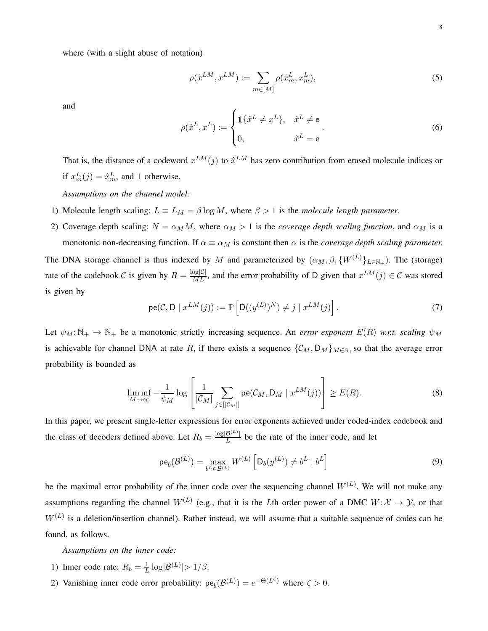where (with a slight abuse of notation)

<span id="page-7-0"></span>
$$
\rho(\hat{x}^{LM}, x^{LM}) := \sum_{m \in [M]} \rho(\hat{x}_m^L, x_m^L),\tag{5}
$$

and

$$
\rho(\hat{x}^L, x^L) := \begin{cases} \mathbb{1}\{\hat{x}^L \neq x^L\}, & \hat{x}^L \neq e \\ 0, & \hat{x}^L = e \end{cases}
$$
 (6)

That is, the distance of a codeword  $x^{LM}(j)$  to  $\hat{x}^{LM}$  has zero contribution from erased molecule indices or if  $x_m^L(j) = \hat{x}_m^L$ , and 1 otherwise.

*Assumptions on the channel model:*

- 1) Molecule length scaling:  $L \equiv L_M = \beta \log M$ , where  $\beta > 1$  is the *molecule length parameter*.
- 2) Coverage depth scaling:  $N = \alpha_M M$ , where  $\alpha_M > 1$  is the *coverage depth scaling function*, and  $\alpha_M$  is a monotonic non-decreasing function. If  $\alpha \equiv \alpha_M$  is constant then  $\alpha$  is the *coverage depth scaling parameter.*

The DNA storage channel is thus indexed by M and parameterized by  $(\alpha_M, \beta, \{W^{(L)}\}_{L \in \mathbb{N}_+})$ . The (storage) rate of the codebook C is given by  $R = \frac{\log|\mathcal{C}|}{ML}$ , and the error probability of D given that  $x^{LM}(j) \in \mathcal{C}$  was stored is given by

$$
pe(C, D \mid x^{LM}(j)) := \mathbb{P}\left[D((y^{(L)})^N) \neq j \mid x^{LM}(j)\right].
$$
\n(7)

Let  $\psi_M : \mathbb{N}_+ \to \mathbb{N}_+$  be a monotonic strictly increasing sequence. An *error exponent*  $E(R)$  *w.r.t. scaling*  $\psi_M$ is achievable for channel DNA at rate R, if there exists a sequence  $\{C_M, D_M\}_{M\in\mathbb{N}_+}$  so that the average error probability is bounded as

$$
\liminf_{M \to \infty} -\frac{1}{\psi_M} \log \left[ \frac{1}{|\mathcal{C}_M|} \sum_{j \in [|\mathcal{C}_M|]} \mathsf{pe}(\mathcal{C}_M, \mathsf{D}_M \mid x^{LM}(j)) \right] \ge E(R). \tag{8}
$$

In this paper, we present single-letter expressions for error exponents achieved under coded-index codebook and the class of decoders defined above. Let  $R_b = \frac{\log|\mathcal{B}^{(L)}|}{L}$  be the rate of the inner code, and let

$$
\mathsf{pe}_b(\mathcal{B}^{(L)}) = \max_{b^L \in \mathcal{B}^{(L)}} W^{(L)} \left[ \mathsf{D}_b(y^{(L)}) \neq b^L \mid b^L \right] \tag{9}
$$

be the maximal error probability of the inner code over the sequencing channel  $W^{(L)}$ . We will not make any assumptions regarding the channel  $W^{(L)}$  (e.g., that it is the Lth order power of a DMC  $W: \mathcal{X} \to \mathcal{Y}$ , or that  $W^{(L)}$  is a deletion/insertion channel). Rather instead, we will assume that a suitable sequence of codes can be found, as follows.

*Assumptions on the inner code:*

- 1) Inner code rate:  $R_b = \frac{1}{L}$  $\frac{1}{L} \log |\mathcal{B}^{(L)}| > 1/\beta.$
- 2) Vanishing inner code error probability:  $pe_b(\mathcal{B}^{(L)}) = e^{-\Theta(L^{\zeta})}$  where  $\zeta > 0$ .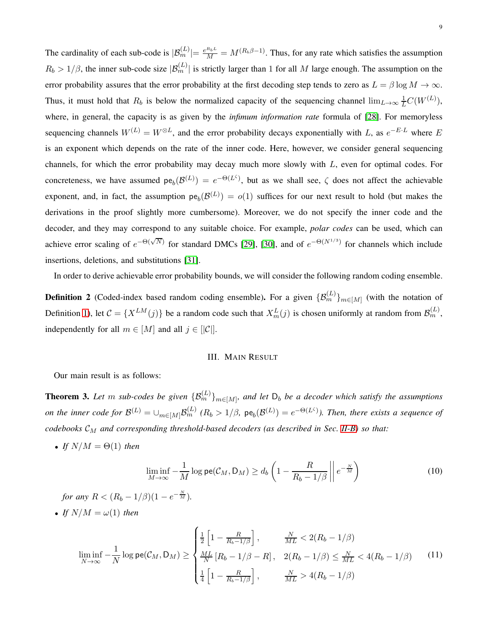The cardinality of each sub-code is  $|\mathcal{B}_m^{(L)}| = \frac{e^{R_b L}}{M} = M^{(R_b \beta - 1)}$ . Thus, for any rate which satisfies the assumption  $R_b > 1/\beta$ , the inner sub-code size  $|\mathcal{B}_m^{(L)}|$  is strictly larger than 1 for all M large enough. The assumption on the error probability assures that the error probability at the first decoding step tends to zero as  $L = \beta \log M \to \infty$ . Thus, it must hold that  $R_b$  is below the normalized capacity of the sequencing channel  $\lim_{L\to\infty}\frac{1}{L}C(W^{(L)})$ , where, in general, the capacity is as given by the *infimum information rate* formula of [\[28\]](#page-35-1). For memoryless sequencing channels  $W^{(L)} = W^{\otimes L}$ , and the error probability decays exponentially with L, as  $e^{-E \cdot L}$  where E is an exponent which depends on the rate of the inner code. Here, however, we consider general sequencing channels, for which the error probability may decay much more slowly with L, even for optimal codes. For concreteness, we have assumed  $pe_b(\mathcal{B}^{(L)}) = e^{-\Theta(L^{\zeta})}$ , but as we shall see,  $\zeta$  does not affect the achievable exponent, and, in fact, the assumption  $pe_b(\mathcal{B}^{(L)}) = o(1)$  suffices for our next result to hold (but makes the derivations in the proof slightly more cumbersome). Moreover, we do not specify the inner code and the decoder, and they may correspond to any suitable choice. For example, *polar codes* can be used, which can achieve error scaling of  $e^{-\Theta(\sqrt{N})}$  for standard DMCs [\[29\]](#page-35-2), [\[30\]](#page-35-3), and of  $e^{-\Theta(N^{1/3})}$  for channels which include insertions, deletions, and substitutions [\[31\]](#page-35-4).

In order to derive achievable error probability bounds, we will consider the following random coding ensemble.

<span id="page-8-2"></span>**Definition 2** (Coded-index based random coding ensemble). For a given  $\{\mathcal{B}_m^{(L)}\}_{m\in[M]}$  (with the notation of Definition [1\)](#page-6-0), let  $C = \{X^{LM}(j)\}\$ be a random code such that  $X_m^L(j)$  is chosen uniformly at random from  $\mathcal{B}_m^{(L)}$ , independently for all  $m \in [M]$  and all  $j \in [C]$ .

## III. MAIN RESULT

<span id="page-8-0"></span>Our main result is as follows:

<span id="page-8-1"></span>**Theorem 3.** Let m sub-codes be given  $\{\mathcal{B}_m^{(L)}\}_{m\in[M]}$ , and let  $D_b$  be a decoder which satisfy the assumptions *on the inner code for*  $\mathcal{B}^{(L)} = \cup_{m \in [M]} \mathcal{B}^{(L)}_m$  ( $R_b > 1/\beta$ ,  $pe_b(\mathcal{B}^{(L)}) = e^{-\Theta(L^c)}$ ). Then, there exists a sequence of *codebooks*  $\mathcal{C}_M$  *and corresponding threshold-based decoders (as described in Sec. [II-B\)](#page-5-2)* so that:

• *If*  $N/M = \Theta(1)$  *then* 

$$
\liminf_{M \to \infty} -\frac{1}{M} \log \mathsf{pe}(\mathcal{C}_M, \mathsf{D}_M) \ge d_b \left( 1 - \frac{R}{R_b - 1/\beta} \left\| e^{-\frac{N}{M}} \right) \right)
$$
(10)

*for any*  $R < (R_b - 1/\beta)(1 - e^{-\frac{N}{M}})$ *.* 

• *If*  $N/M = \omega(1)$  *then* 

$$
\liminf_{N \to \infty} -\frac{1}{N} \log \mathsf{pe}(\mathcal{C}_M, \mathsf{D}_M) \ge \begin{cases} \frac{1}{2} \left[ 1 - \frac{R}{R_b - 1/\beta} \right], & \frac{N}{ML} < 2(R_b - 1/\beta) \\ \frac{ML}{N} \left[ R_b - 1/\beta - R \right], & 2(R_b - 1/\beta) \le \frac{N}{ML} < 4(R_b - 1/\beta) \\ \frac{1}{4} \left[ 1 - \frac{R}{R_b - 1/\beta} \right], & \frac{N}{ML} > 4(R_b - 1/\beta) \end{cases}
$$
(11)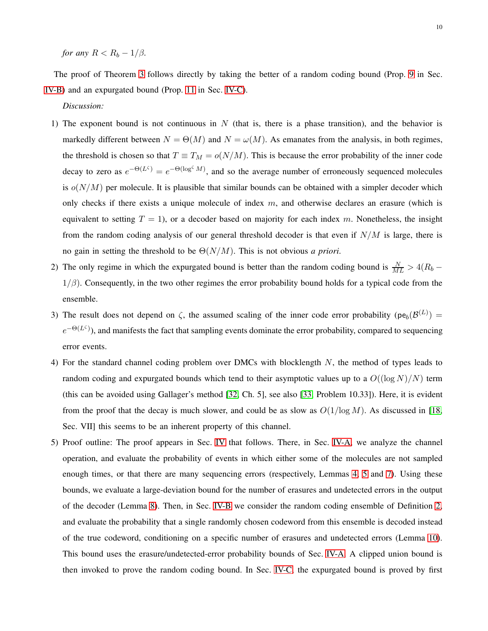*for any*  $R < R_b - 1/\beta$ *.* 

The proof of Theorem [3](#page-8-1) follows directly by taking the better of a random coding bound (Prop. [9](#page-20-0) in Sec. [IV-B\)](#page-19-0) and an expurgated bound (Prop. [11](#page-27-0) in Sec. [IV-C\)](#page-27-1).

*Discussion:*

- 1) The exponent bound is not continuous in  $N$  (that is, there is a phase transition), and the behavior is markedly different between  $N = \Theta(M)$  and  $N = \omega(M)$ . As emanates from the analysis, in both regimes, the threshold is chosen so that  $T \equiv T_M = o(N/M)$ . This is because the error probability of the inner code decay to zero as  $e^{-\Theta(L^{\zeta})} = e^{-\Theta(\log^{\zeta} M)}$ , and so the average number of erroneously sequenced molecules is  $o(N/M)$  per molecule. It is plausible that similar bounds can be obtained with a simpler decoder which only checks if there exists a unique molecule of index  $m$ , and otherwise declares an erasure (which is equivalent to setting  $T = 1$ ), or a decoder based on majority for each index m. Nonetheless, the insight from the random coding analysis of our general threshold decoder is that even if  $N/M$  is large, there is no gain in setting the threshold to be Θ(N/M). This is not obvious *a priori*.
- 2) The only regime in which the expurgated bound is better than the random coding bound is  $\frac{N}{ML} > 4(R_b 1/\beta$ ). Consequently, in the two other regimes the error probability bound holds for a typical code from the ensemble.
- 3) The result does not depend on  $\zeta$ , the assumed scaling of the inner code error probability ( $pe_b(\mathcal{B}^{(L)})$  =  $e^{-\Theta(L^{\zeta})}$ , and manifests the fact that sampling events dominate the error probability, compared to sequencing error events.
- 4) For the standard channel coding problem over DMCs with blocklength N, the method of types leads to random coding and expurgated bounds which tend to their asymptotic values up to a  $O((\log N)/N)$  term (this can be avoided using Gallager's method [\[32,](#page-35-5) Ch. 5], see also [\[33,](#page-35-6) Problem 10.33]). Here, it is evident from the proof that the decay is much slower, and could be as slow as  $O(1/\log M)$ . As discussed in [\[18,](#page-34-7) Sec. VII] this seems to be an inherent property of this channel.
- 5) Proof outline: The proof appears in Sec. [IV](#page-11-1) that follows. There, in Sec. [IV-A,](#page-11-2) we analyze the channel operation, and evaluate the probability of events in which either some of the molecules are not sampled enough times, or that there are many sequencing errors (respectively, Lemmas [4,](#page-13-0) [5](#page-14-0) and [7\)](#page-17-0). Using these bounds, we evaluate a large-deviation bound for the number of erasures and undetected errors in the output of the decoder (Lemma [8\)](#page-18-0). Then, in Sec. [IV-B](#page-19-0) we consider the random coding ensemble of Definition [2,](#page-8-2) and evaluate the probability that a single randomly chosen codeword from this ensemble is decoded instead of the true codeword, conditioning on a specific number of erasures and undetected errors (Lemma [10\)](#page-20-1). This bound uses the erasure/undetected-error probability bounds of Sec. [IV-A.](#page-11-2) A clipped union bound is then invoked to prove the random coding bound. In Sec. [IV-C,](#page-27-1) the expurgated bound is proved by first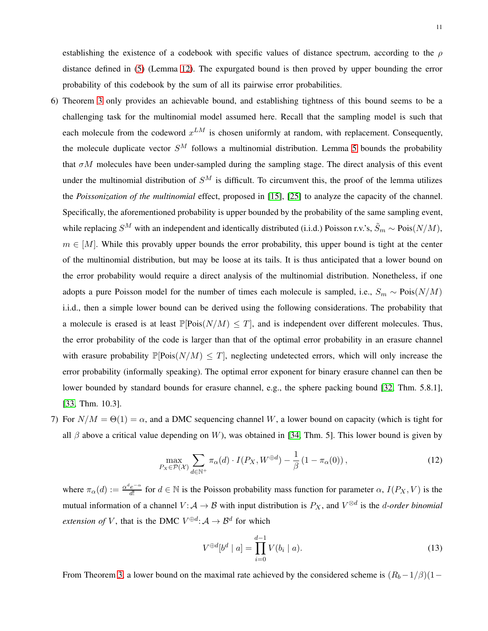establishing the existence of a codebook with specific values of distance spectrum, according to the  $\rho$ distance defined in [\(5\)](#page-7-0) (Lemma [12\)](#page-27-2). The expurgated bound is then proved by upper bounding the error probability of this codebook by the sum of all its pairwise error probabilities.

- 6) Theorem [3](#page-8-1) only provides an achievable bound, and establishing tightness of this bound seems to be a challenging task for the multinomial model assumed here. Recall that the sampling model is such that each molecule from the codeword  $x^{LM}$  is chosen uniformly at random, with replacement. Consequently, the molecule duplicate vector  $S^M$  follows a multinomial distribution. Lemma [5](#page-14-0) bounds the probability that  $\sigma M$  molecules have been under-sampled during the sampling stage. The direct analysis of this event under the multinomial distribution of  $S^M$  is difficult. To circumvent this, the proof of the lemma utilizes the *Poissonization of the multinomial* effect, proposed in [\[15\]](#page-34-5), [\[25\]](#page-34-15) to analyze the capacity of the channel. Specifically, the aforementioned probability is upper bounded by the probability of the same sampling event, while replacing  $S^M$  with an independent and identically distributed (i.i.d.) Poisson r.v.'s,  $\tilde{S}_m \sim \text{Pois}(N/M)$ ,  $m \in [M]$ . While this provably upper bounds the error probability, this upper bound is tight at the center of the multinomial distribution, but may be loose at its tails. It is thus anticipated that a lower bound on the error probability would require a direct analysis of the multinomial distribution. Nonetheless, if one adopts a pure Poisson model for the number of times each molecule is sampled, i.e.,  $S_m \sim \text{Pois}(N/M)$ i.i.d., then a simple lower bound can be derived using the following considerations. The probability that a molecule is erased is at least  $\mathbb{P}[\text{Pois}(N/M) \leq T]$ , and is independent over different molecules. Thus, the error probability of the code is larger than that of the optimal error probability in an erasure channel with erasure probability  $\mathbb{P}[\text{Pois}(N/M) \leq T]$ , neglecting undetected errors, which will only increase the error probability (informally speaking). The optimal error exponent for binary erasure channel can then be lower bounded by standard bounds for erasure channel, e.g., the sphere packing bound [\[32,](#page-35-5) Thm. 5.8.1], [\[33,](#page-35-6) Thm. 10.3].
- 7) For  $N/M = \Theta(1) = \alpha$ , and a DMC sequencing channel W, a lower bound on capacity (which is tight for all  $\beta$  above a critical value depending on W), was obtained in [\[34,](#page-35-7) Thm. 5]. This lower bound is given by

$$
\max_{P_X \in \mathcal{P}(\mathcal{X})} \sum_{d \in \mathbb{N}^+} \pi_\alpha(d) \cdot I(P_X, W^{\oplus d}) - \frac{1}{\beta} \left( 1 - \pi_\alpha(0) \right),\tag{12}
$$

where  $\pi_{\alpha}(d) := \frac{\alpha^d e^{-\alpha}}{d!}$  $\frac{de^{-\alpha}}{d!}$  for  $d \in \mathbb{N}$  is the Poisson probability mass function for parameter  $\alpha$ ,  $I(P_X, V)$  is the mutual information of a channel  $V: A \to B$  with input distribution is  $P_X$ , and  $V^{\otimes d}$  is the *d-order binomial extension of* V, that is the DMC  $V^{\oplus d}$ :  $A \rightarrow \mathcal{B}^d$  for which

$$
V^{\oplus d}[b^d \mid a] = \prod_{i=0}^{d-1} V(b_i \mid a). \tag{13}
$$

From Theorem [3,](#page-8-1) a lower bound on the maximal rate achieved by the considered scheme is  $(R_b-1/\beta)(1-$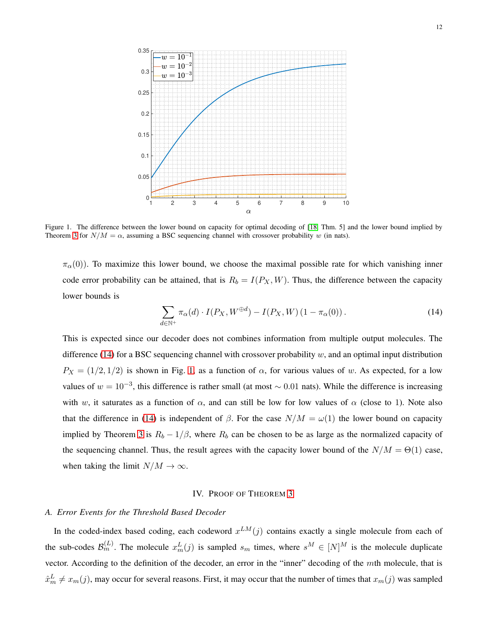

<span id="page-11-0"></span>Figure 1. The difference between the lower bound on capacity for optimal decoding of [\[18,](#page-34-7) Thm. 5] and the lower bound implied by Theorem [3](#page-8-1) for  $N/M = \alpha$ , assuming a BSC sequencing channel with crossover probability w (in nats).

 $\pi_{\alpha}(0)$ ). To maximize this lower bound, we choose the maximal possible rate for which vanishing inner code error probability can be attained, that is  $R_b = I(P_X, W)$ . Thus, the difference between the capacity lower bounds is

<span id="page-11-3"></span>
$$
\sum_{d \in \mathbb{N}^+} \pi_\alpha(d) \cdot I(P_X, W^{\oplus d}) - I(P_X, W) \left(1 - \pi_\alpha(0)\right). \tag{14}
$$

This is expected since our decoder does not combines information from multiple output molecules. The difference [\(14\)](#page-11-3) for a BSC sequencing channel with crossover probability  $w$ , and an optimal input distribution  $P_X = (1/2, 1/2)$  is shown in Fig. [1,](#page-11-0) as a function of  $\alpha$ , for various values of w. As expected, for a low values of  $w = 10^{-3}$ , this difference is rather small (at most  $\sim 0.01$  nats). While the difference is increasing with w, it saturates as a function of  $\alpha$ , and can still be low for low values of  $\alpha$  (close to 1). Note also that the difference in [\(14\)](#page-11-3) is independent of  $\beta$ . For the case  $N/M = \omega(1)$  the lower bound on capacity implied by Theorem [3](#page-8-1) is  $R_b - 1/\beta$ , where  $R_b$  can be chosen to be as large as the normalized capacity of the sequencing channel. Thus, the result agrees with the capacity lower bound of the  $N/M = \Theta(1)$  case, when taking the limit  $N/M \to \infty$ .

#### IV. PROOF OF THEOREM [3](#page-8-1)

# <span id="page-11-2"></span><span id="page-11-1"></span>*A. Error Events for the Threshold Based Decoder*

In the coded-index based coding, each codeword  $x^{LM}(j)$  contains exactly a single molecule from each of the sub-codes  $\mathcal{B}_m^{(L)}$ . The molecule  $x_m^L(j)$  is sampled  $s_m$  times, where  $s^M \in [N]^M$  is the molecule duplicate vector. According to the definition of the decoder, an error in the "inner" decoding of the mth molecule, that is  $\hat{x}_m^L \neq x_m(j)$ , may occur for several reasons. First, it may occur that the number of times that  $x_m(j)$  was sampled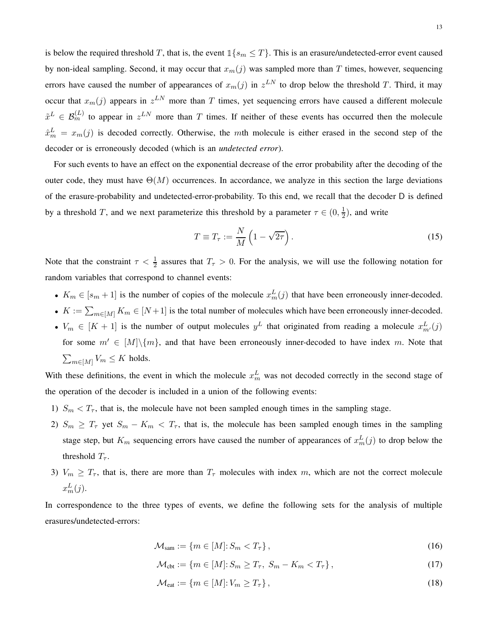is below the required threshold T, that is, the event  $\mathbb{1}\{s_m \leq T\}$ . This is an erasure/undetected-error event caused by non-ideal sampling. Second, it may occur that  $x_m(j)$  was sampled more than T times, however, sequencing errors have caused the number of appearances of  $x_m(j)$  in  $z^{LN}$  to drop below the threshold T. Third, it may occur that  $x_m(j)$  appears in  $z^{LN}$  more than T times, yet sequencing errors have caused a different molecule  $\tilde{x}^L \in \mathcal{B}_m^{(L)}$  to appear in  $z^{LN}$  more than T times. If neither of these events has occurred then the molecule  $\hat{x}_{m}^{L} = x_{m}(j)$  is decoded correctly. Otherwise, the mth molecule is either erased in the second step of the decoder or is erroneously decoded (which is an *undetected error*).

For such events to have an effect on the exponential decrease of the error probability after the decoding of the outer code, they must have  $\Theta(M)$  occurrences. In accordance, we analyze in this section the large deviations of the erasure-probability and undetected-error-probability. To this end, we recall that the decoder D is defined by a threshold T, and we next parameterize this threshold by a parameter  $\tau \in (0, \frac{1}{2})$  $\frac{1}{2}$ ), and write

<span id="page-12-0"></span>
$$
T \equiv T_{\tau} := \frac{N}{M} \left( 1 - \sqrt{2\tau} \right). \tag{15}
$$

Note that the constraint  $\tau < \frac{1}{2}$  assures that  $T_{\tau} > 0$ . For the analysis, we will use the following notation for random variables that correspond to channel events:

- $K_m \in [s_m + 1]$  is the number of copies of the molecule  $x_m^L(j)$  that have been erroneously inner-decoded.
- $K := \sum_{m \in [M]} K_m \in [N+1]$  is the total number of molecules which have been erroneously inner-decoded.
- $V_m \in [K+1]$  is the number of output molecules  $y^L$  that originated from reading a molecule  $x^L_{m'}(j)$ for some  $m' \in [M] \setminus \{m\}$ , and that have been erroneously inner-decoded to have index m. Note that  $\sum_{m\in[M]}V_m\leq K$  holds.

With these definitions, the event in which the molecule  $x_m^L$  was not decoded correctly in the second stage of the operation of the decoder is included in a union of the following events:

- 1)  $S_m < T_\tau$ , that is, the molecule have not been sampled enough times in the sampling stage.
- 2)  $S_m \geq T_\tau$  yet  $S_m K_m < T_\tau$ , that is, the molecule has been sampled enough times in the sampling stage step, but  $K_m$  sequencing errors have caused the number of appearances of  $x_m^L(j)$  to drop below the threshold  $T_{\tau}$ .
- 3)  $V_m \geq T_\tau$ , that is, there are more than  $T_\tau$  molecules with index m, which are not the correct molecule  $x_m^L(j)$ .

In correspondence to the three types of events, we define the following sets for the analysis of multiple erasures/undetected-errors:

$$
\mathcal{M}_{\text{sam}} := \{ m \in [M] : S_m < T_\tau \},\tag{16}
$$

<span id="page-12-2"></span><span id="page-12-1"></span>
$$
\mathcal{M}_{\text{cbt}} := \{ m \in [M] : S_m \ge T_\tau, \ S_m - K_m < T_\tau \},\tag{17}
$$

<span id="page-12-3"></span>
$$
\mathcal{M}_{\text{eat}} := \{ m \in [M] : V_m \ge T_\tau \},\tag{18}
$$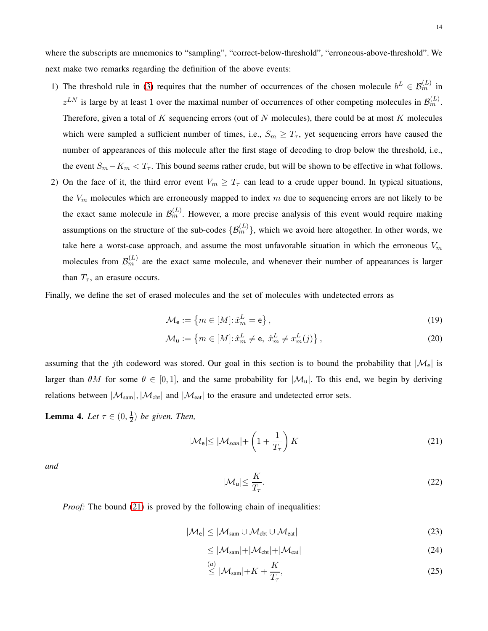where the subscripts are mnemonics to "sampling", "correct-below-threshold", "erroneous-above-threshold". We next make two remarks regarding the definition of the above events:

- 1) The threshold rule in [\(3\)](#page-6-1) requires that the number of occurrences of the chosen molecule  $b^L \in \mathcal{B}_m^{(L)}$  in  $z^{LN}$  is large by at least 1 over the maximal number of occurrences of other competing molecules in  $\mathcal{B}_m^{(L)}$ . Therefore, given a total of  $K$  sequencing errors (out of  $N$  molecules), there could be at most  $K$  molecules which were sampled a sufficient number of times, i.e.,  $S_m \geq T_{\tau}$ , yet sequencing errors have caused the number of appearances of this molecule after the first stage of decoding to drop below the threshold, i.e., the event  $S_m - K_m < T_\tau$ . This bound seems rather crude, but will be shown to be effective in what follows.
- 2) On the face of it, the third error event  $V_m \geq T_\tau$  can lead to a crude upper bound. In typical situations, the  $V_m$  molecules which are erroneously mapped to index m due to sequencing errors are not likely to be the exact same molecule in  $\mathcal{B}_m^{(L)}$ . However, a more precise analysis of this event would require making assumptions on the structure of the sub-codes  $\{\mathcal{B}_m^{(L)}\}$ , which we avoid here altogether. In other words, we take here a worst-case approach, and assume the most unfavorable situation in which the erroneous  $V_m$ molecules from  $\mathcal{B}_m^{(L)}$  are the exact same molecule, and whenever their number of appearances is larger than  $T_{\tau}$ , an erasure occurs.

Finally, we define the set of erased molecules and the set of molecules with undetected errors as

<span id="page-13-3"></span>
$$
\mathcal{M}_{\mathbf{e}} := \left\{ m \in [M] : \hat{x}_m^L = \mathbf{e} \right\},\tag{19}
$$

$$
\mathcal{M}_{\mathsf{u}} := \left\{ m \in [M] : \hat{x}_m^L \neq \mathsf{e}, \ \hat{x}_m^L \neq x_m^L(j) \right\},\tag{20}
$$

assuming that the jth codeword was stored. Our goal in this section is to bound the probability that  $|\mathcal{M}_e|$  is larger than  $\theta M$  for some  $\theta \in [0, 1]$ , and the same probability for  $|\mathcal{M}_u|$ . To this end, we begin by deriving relations between  $|\mathcal{M}_{sam}|, |\mathcal{M}_{cbt}|$  and  $|\mathcal{M}_{eat}|$  to the erasure and undetected error sets.

<span id="page-13-0"></span>**Lemma 4.** *Let*  $\tau \in (0, \frac{1}{2})$  $\frac{1}{2}$ ) be given. Then,

<span id="page-13-1"></span>
$$
|\mathcal{M}_{\mathsf{e}}| \le |\mathcal{M}_{\mathit{sam}}| + \left(1 + \frac{1}{T_{\tau}}\right)K\tag{21}
$$

*and*

<span id="page-13-4"></span><span id="page-13-2"></span>
$$
|\mathcal{M}_u| \le \frac{K}{T_\tau}.\tag{22}
$$

*Proof:* The bound [\(21\)](#page-13-1) is proved by the following chain of inequalities:

$$
|\mathcal{M}_{\rm e}| \leq |\mathcal{M}_{\rm sam} \cup \mathcal{M}_{\rm cbt} \cup \mathcal{M}_{\rm eat}| \tag{23}
$$

$$
\leq |\mathcal{M}_{sam}| + |\mathcal{M}_{cbt}| + |\mathcal{M}_{eat}| \tag{24}
$$

$$
\stackrel{(a)}{\leq} |\mathcal{M}_{\text{sam}}| + K + \frac{K}{T_{\tau}},\tag{25}
$$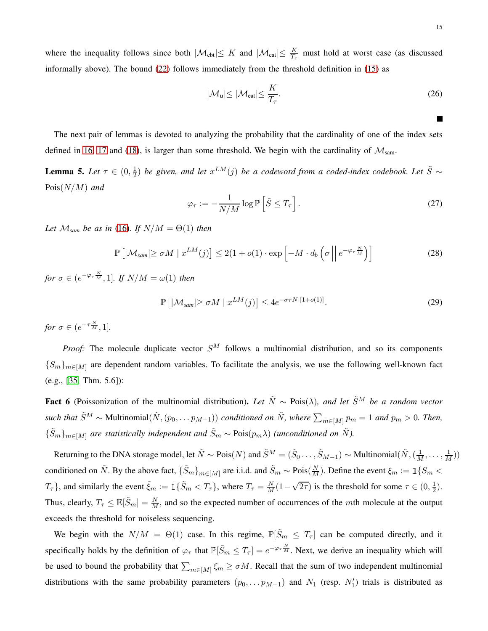where the inequality follows since both  $|\mathcal{M}_{\text{cbt}}| \leq K$  and  $|\mathcal{M}_{\text{eat}}| \leq \frac{K}{T_{\tau}}$  must hold at worst case (as discussed informally above). The bound [\(22\)](#page-13-2) follows immediately from the threshold definition in [\(15\)](#page-12-0) as

$$
|\mathcal{M}_{\mathsf{u}}| \le |\mathcal{M}_{\mathsf{eat}}| \le \frac{K}{T_{\tau}}.\tag{26}
$$

The next pair of lemmas is devoted to analyzing the probability that the cardinality of one of the index sets defined in [16,](#page-12-1) [17](#page-12-2) and [\(18\)](#page-12-3), is larger than some threshold. We begin with the cardinality of  $\mathcal{M}_{sam}$ .

<span id="page-14-0"></span>**Lemma 5.** *Let*  $\tau \in (0, \frac{1}{2})$  $\frac{1}{2}$ ) *be given, and let*  $x^{LM}(j)$  *be a codeword from a coded-index codebook. Let*  $\tilde{S}$  ∼ Pois(N/M) *and*

$$
\varphi_{\tau} := -\frac{1}{N/M} \log \mathbb{P}\left[\tilde{S} \le T_{\tau}\right].\tag{27}
$$

*Let*  $\mathcal{M}_{\text{sum}}$  *be as in* [\(16\)](#page-12-1)*. If*  $N/M = \Theta(1)$  *then* 

$$
\mathbb{P}\left[|\mathcal{M}_{\text{sam}}| \ge \sigma M \mid x^{LM}(j)\right] \le 2(1+o(1)\cdot \exp\left[-M \cdot d_b\left(\sigma \mid e^{-\varphi_{\tau \frac{N}{M}}}\right)\right] \tag{28}
$$

*for*  $\sigma \in (e^{-\varphi_{\tau} \frac{N}{M}}, 1]$ *. If*  $N/M = \omega(1)$  *then* 

$$
\mathbb{P}\left[|\mathcal{M}_{sam}| \ge \sigma M \mid x^{LM}(j)\right] \le 4e^{-\sigma\tau N \cdot [1+o(1)]}. \tag{29}
$$

*for*  $\sigma \in (e^{-\tau \frac{N}{M}}, 1]$ *.* 

*Proof:* The molecule duplicate vector  $S^M$  follows a multinomial distribution, and so its components  ${S_m}_{m \in M}$  are dependent random variables. To facilitate the analysis, we use the following well-known fact (e.g., [\[35,](#page-35-8) Thm. 5.6]):

Fact 6 (Poissonization of the multinomial distribution). Let  $\tilde{N}$  ∼ Pois( $\lambda$ ), and let  $\tilde{S}^M$  be a random vector *such that*  $\tilde{S}^M \sim \text{Multinomial}(\tilde{N}, (p_0, \ldots p_{M-1}))$  *conditioned on*  $\tilde{N}$ *, where*  $\sum_{m \in [M]} p_m = 1$  *and*  $p_m > 0$ *. Then,*  ${\{\tilde{S}_m\}}_{m∈[M]}$  *are statistically independent and*  $\tilde{S}_m \sim \text{Pois}(p_m\lambda)$  *(unconditioned on*  $\tilde{N}$ *).* 

Returning to the DNA storage model, let  $\tilde{N} \sim \text{Pois}(N)$  and  $\tilde{S}^M = (\tilde{S}_0 \dots, \tilde{S}_{M-1}) \sim \text{Multinomial}(\tilde{N}, (\frac{1}{M}, \dots, \frac{1}{M}))$ conditioned on  $\tilde{N}$ . By the above fact,  $\{\tilde{S}_m\}_{m\in[M]}$  are i.i.d. and  $\tilde{S}_m \sim \text{Pois}(\frac{N}{M})$ . Define the event  $\xi_m := \mathbbm{1}\{S_m \prec$  $T_{\tau}$ }, and similarly the event  $\tilde{\xi}_m := \mathbb{1}\{\tilde{S}_m < T_{\tau}\}\$ , where  $T_{\tau} = \frac{N}{M}(1-\sqrt{2\tau})$  is the threshold for some  $\tau \in (0, \frac{1}{2})$  $(\frac{1}{2})$ . Thus, clearly,  $T_{\tau} \leq \mathbb{E}[\tilde{S}_m] = \frac{N}{M}$ , and so the expected number of occurrences of the *mth* molecule at the output exceeds the threshold for noiseless sequencing.

We begin with the  $N/M = \Theta(1)$  case. In this regime,  $\mathbb{P}[\tilde{S}_m \leq T_\tau]$  can be computed directly, and it specifically holds by the definition of  $\varphi_{\tau}$  that  $\mathbb{P}[\tilde{S}_m \leq T_{\tau}] = e^{-\varphi_{\tau} \frac{N}{M}}$ . Next, we derive an inequality which will be used to bound the probability that  $\sum_{m\in[M]} \xi_m \ge \sigma M$ . Recall that the sum of two independent multinomial distributions with the same probability parameters  $(p_0, \ldots p_{M-1})$  and  $N_1$  (resp.  $N'_1$ ) trials is distributed as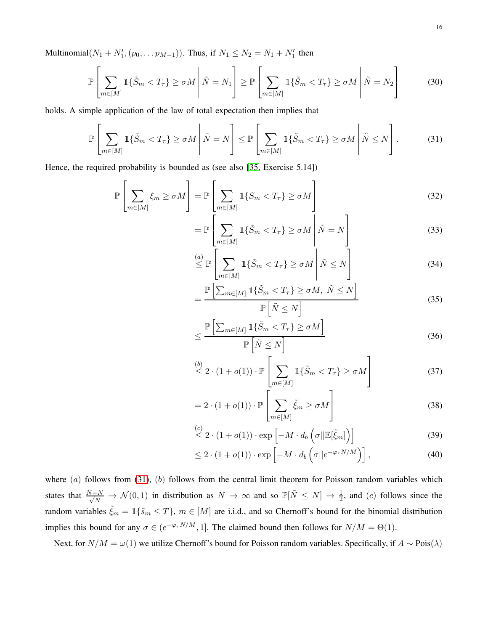Multinomial $(N_1 + N'_1, (p_0, \dots p_{M-1}))$ . Thus, if  $N_1 \le N_2 = N_1 + N'_1$  then

$$
\mathbb{P}\left[\sum_{m\in[M]}\mathbb{1}\{\tilde{S}_m < T_\tau\} \ge \sigma M \middle| \tilde{N} = N_1\right] \ge \mathbb{P}\left[\sum_{m\in[M]}\mathbb{1}\{\tilde{S}_m < T_\tau\} \ge \sigma M \middle| \tilde{N} = N_2\right] \tag{30}
$$

holds. A simple application of the law of total expectation then implies that

<span id="page-15-0"></span>
$$
\mathbb{P}\left[\sum_{m\in[M]}\mathbb{1}\{\tilde{S}_m < T_\tau\} \ge \sigma M \middle| \tilde{N} = N\right] \le \mathbb{P}\left[\sum_{m\in[M]}\mathbb{1}\{\tilde{S}_m < T_\tau\} \ge \sigma M \middle| \tilde{N} \le N\right].\tag{31}
$$

Hence, the required probability is bounded as (see also [\[35,](#page-35-8) Exercise 5.14])

$$
\mathbb{P}\left[\sum_{m\in[M]}\xi_m\geq\sigma M\right]=\mathbb{P}\left[\sum_{m\in[M]}\mathbb{1}\{S_m\n(32)
$$

$$
= \mathbb{P}\left[\sum_{m\in[M]} \mathbb{1}\{\tilde{S}_m < T_\tau\} \ge \sigma M \middle| \tilde{N} = N\right] \tag{33}
$$

$$
\stackrel{(a)}{\leq} \mathbb{P}\left[\sum_{m\in[M]} \mathbb{1}\{\tilde{S}_m < T_\tau\} \geq \sigma M \middle| \tilde{N} \leq N\right] \tag{34}
$$

$$
= \frac{\mathbb{P}\left[\sum_{m\in[M]}\mathbb{1}\{\tilde{S}_m < T_\tau\} \ge \sigma M, \ \tilde{N} \le N\right]}{\mathbb{P}\left[\tilde{N} \le N\right]} \tag{35}
$$

$$
\leq \frac{\mathbb{P}\left[\sum_{m\in[M]}\mathbb{1}\{\tilde{S}_m < T_\tau\} \geq \sigma M\right]}{\mathbb{P}\left[\tilde{N} \leq N\right]} \tag{36}
$$

$$
\stackrel{(b)}{\leq} 2 \cdot (1 + o(1)) \cdot \mathbb{P}\left[\sum_{m \in [M]} \mathbb{1}\{\tilde{S}_m < T_\tau\} \geq \sigma M\right] \tag{37}
$$

$$
= 2 \cdot (1 + o(1)) \cdot \mathbb{P}\left[\sum_{m \in [M]} \tilde{\xi}_m \ge \sigma M\right]
$$
\n(38)

$$
\stackrel{(c)}{\leq} 2 \cdot (1 + o(1)) \cdot \exp\left[-M \cdot d_b\left(\sigma \middle| \mathbb{E}[\tilde{\xi}_m]\right)\right] \tag{39}
$$

<span id="page-15-1"></span>
$$
\leq 2 \cdot (1 + o(1)) \cdot \exp\left[-M \cdot d_b\left(\sigma || e^{-\varphi_\tau N/M}\right)\right],\tag{40}
$$

where  $(a)$  follows from [\(31\)](#page-15-0),  $(b)$  follows from the central limit theorem for Poisson random variables which states that  $\frac{\tilde{N}-N}{\sqrt{N}} \to \mathcal{N}(0,1)$  in distribution as  $N \to \infty$  and so  $\mathbb{P}[\tilde{N} \leq N] \to \frac{1}{2}$ , and (c) follows since the random variables  $\tilde{\xi}_m = \mathbb{1}\{\tilde{s}_m \leq T\}$ ,  $m \in [M]$  are i.i.d., and so Chernoff's bound for the binomial distribution implies this bound for any  $\sigma \in (e^{-\varphi_{\tau}N/M}, 1]$ . The claimed bound then follows for  $N/M = \Theta(1)$ .

Next, for  $N/M = \omega(1)$  we utilize Chernoff's bound for Poisson random variables. Specifically, if  $A \sim \text{Pois}(\lambda)$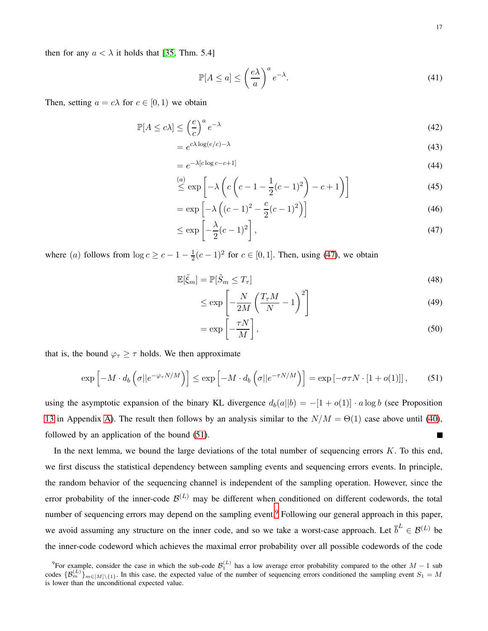then for any  $a < \lambda$  it holds that [\[35,](#page-35-8) Thm. 5.4]

$$
\mathbb{P}[A \le a] \le \left(\frac{e\lambda}{a}\right)^a e^{-\lambda}.\tag{41}
$$

Then, setting  $a = c\lambda$  for  $c \in [0, 1)$  we obtain

$$
\mathbb{P}[A \le c\lambda] \le \left(\frac{e}{c}\right)^a e^{-\lambda} \tag{42}
$$

$$
=e^{c\lambda \log(e/c)-\lambda} \tag{43}
$$

$$
=e^{-\lambda[c\log c-c+1]}\tag{44}
$$

$$
\stackrel{(a)}{\leq} \exp\left[-\lambda \left(c\left(c-1-\frac{1}{2}(c-1)^2\right)-c+1\right)\right] \tag{45}
$$

$$
= \exp\left[-\lambda\left((c-1)^2 - \frac{c}{2}(c-1)^2\right)\right]
$$
\n(46)

$$
\leq \exp\left[-\frac{\lambda}{2}(c-1)^2\right],\tag{47}
$$

where (*a*) follows from  $\log c \geq c - 1 - \frac{1}{2}$  $\frac{1}{2}(c-1)^2$  for  $c \in [0,1]$ . Then, using [\(47\)](#page-16-0), we obtain

$$
\mathbb{E}[\tilde{\xi}_m] = \mathbb{P}[\tilde{S}_m \le T_\tau] \tag{48}
$$

<span id="page-16-0"></span>
$$
\leq \exp\left[-\frac{N}{2M}\left(\frac{T_{\tau}M}{N}-1\right)^2\right]
$$
\n(49)

$$
= \exp\left[-\frac{\tau N}{M}\right],\tag{50}
$$

that is, the bound  $\varphi_{\tau} \geq \tau$  holds. We then approximate

<span id="page-16-1"></span>
$$
\exp\left[-M \cdot d_b\left(\sigma || e^{-\varphi_\tau N/M}\right)\right] \le \exp\left[-M \cdot d_b\left(\sigma || e^{-\tau N/M}\right)\right] = \exp\left[-\sigma \tau N \cdot \left[1 + o(1)\right]\right],\tag{51}
$$

using the asymptotic expansion of the binary KL divergence  $d_b(a||b) = -[1 + o(1)] \cdot a \log b$  (see Proposition [13](#page-32-0) in Appendix [A\)](#page-32-1). The result then follows by an analysis similar to the  $N/M = \Theta(1)$  case above until [\(40\)](#page-15-1), followed by an application of the bound [\(51\)](#page-16-1).  $\blacksquare$ 

In the next lemma, we bound the large deviations of the total number of sequencing errors  $K$ . To this end, we first discuss the statistical dependency between sampling events and sequencing errors events. In principle, the random behavior of the sequencing channel is independent of the sampling operation. However, since the error probability of the inner-code  $\mathcal{B}^{(L)}$  may be different when conditioned on different codewords, the total number of sequencing errors may depend on the sampling event.<sup>[9](#page-16-2)</sup> Following our general approach in this paper, we avoid assuming any structure on the inner code, and so we take a worst-case approach. Let  $\overline{b}^L \in \mathcal{B}^{(L)}$  be the inner-code codeword which achieves the maximal error probability over all possible codewords of the code

<span id="page-16-2"></span><sup>&</sup>lt;sup>9</sup>For example, consider the case in which the sub-code  $\mathcal{B}_1^{(L)}$  has a low average error probability compared to the other  $M-1$  sub codes  $\{\mathcal{B}_m^{(L)}\}_{m\in[M]\setminus\{1\}}$ . In this case, the expected value of the number of sequencing errors conditioned the sampling event  $S_1 = M$ is lower than the unconditional expected value.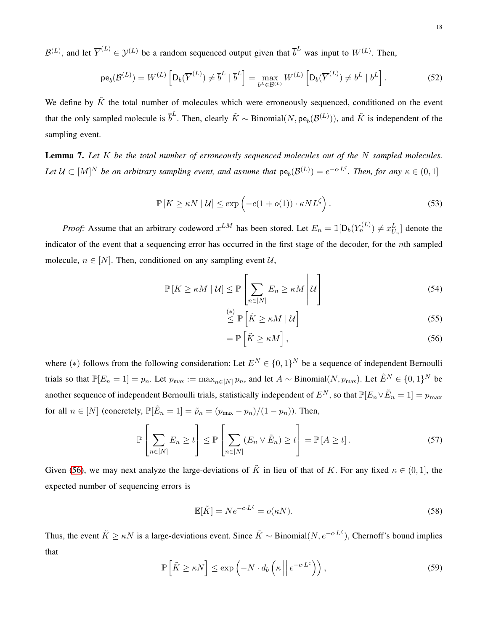$\mathcal{B}^{(L)}$ , and let  $\overline{Y}^{(L)} \in \mathcal{Y}^{(L)}$  be a random sequenced output given that  $\overline{b}^L$  was input to  $W^{(L)}$ . Then,

$$
\mathrm{pe}_{b}(\mathcal{B}^{(L)}) = W^{(L)}\left[\mathrm{D}_{b}(\overline{Y}^{(L)}) \neq \overline{b}^{L} \mid \overline{b}^{L}\right] = \max_{b^{L} \in \mathcal{B}^{(L)}} W^{(L)}\left[\mathrm{D}_{b}(\overline{Y}^{(L)}) \neq b^{L} \mid b^{L}\right].
$$
 (52)

We define by  $\tilde{K}$  the total number of molecules which were erroneously sequenced, conditioned on the event that the only sampled molecule is  $\overline{b}^L$ . Then, clearly  $\tilde{K} \sim \text{Binomial}(N, \text{pe}_b(\mathcal{B}^{(L)}))$ , and  $\tilde{K}$  is independent of the sampling event.

<span id="page-17-0"></span>Lemma 7. *Let* K *be the total number of erroneously sequenced molecules out of the* N *sampled molecules.* Let  $\mathcal{U} \subset [M]^N$  be an arbitrary sampling event, and assume that  $\mathsf{pe}_b(\mathcal{B}^{(L)}) = e^{-c \cdot L \zeta}$ . Then, for any  $\kappa \in (0,1]$ 

$$
\mathbb{P}\left[K \geq \kappa N \mid \mathcal{U}\right] \leq \exp\left(-c(1 + o(1)) \cdot \kappa N L^{\zeta}\right). \tag{53}
$$

*Proof:* Assume that an arbitrary codeword  $x^{LM}$  has been stored. Let  $E_n = \mathbb{1}[D_b(Y_n^{(L)}) \neq x_{U_n}^L]$  denote the indicator of the event that a sequencing error has occurred in the first stage of the decoder, for the nth sampled molecule,  $n \in [N]$ . Then, conditioned on any sampling event  $\mathcal{U}$ ,

$$
\mathbb{P}\left[K \ge \kappa M \mid \mathcal{U}\right] \le \mathbb{P}\left[\sum_{n \in [N]} E_n \ge \kappa M \mid \mathcal{U}\right]
$$
\n(54)

$$
\stackrel{(*)}{\leq} \mathbb{P}\left[\tilde{K} \geq \kappa M \mid \mathcal{U}\right] \tag{55}
$$

<span id="page-17-1"></span>
$$
= \mathbb{P}\left[\tilde{K} \ge \kappa M\right],\tag{56}
$$

where (\*) follows from the following consideration: Let  $E^N \in \{0,1\}^N$  be a sequence of independent Bernoulli trials so that  $\mathbb{P}[E_n = 1] = p_n$ . Let  $p_{\text{max}} := \max_{n \in [N]} p_n$ , and let  $A \sim \text{Binomial}(N, p_{\text{max}})$ . Let  $\tilde{E}^N \in \{0, 1\}^N$  be another sequence of independent Bernoulli trials, statistically independent of  $E^N$ , so that  $\mathbb{P}[E_n \vee \tilde{E}_n = 1] = p_{\max}$ for all  $n \in [N]$  (concretely,  $\mathbb{P}[\tilde{E}_n = 1] = \tilde{p}_n = (p_{\text{max}} - p_n)/(1 - p_n)$ ). Then,

$$
\mathbb{P}\left[\sum_{n\in[N]} E_n \ge t\right] \le \mathbb{P}\left[\sum_{n\in[N]} (E_n \vee \tilde{E}_n) \ge t\right] = \mathbb{P}\left[A \ge t\right].\tag{57}
$$

Given [\(56\)](#page-17-1), we may next analyze the large-deviations of  $\tilde{K}$  in lieu of that of K. For any fixed  $\kappa \in (0,1]$ , the expected number of sequencing errors is

$$
\mathbb{E}[\tilde{K}] = Ne^{-c \cdot L^{\zeta}} = o(\kappa N). \tag{58}
$$

Thus, the event  $\tilde{K} \geq \kappa N$  is a large-deviations event. Since  $\tilde{K} \sim \text{Binomial}(N, e^{-c \cdot L^{\zeta}})$ , Chernoff's bound implies that

$$
\mathbb{P}\left[\tilde{K} \geq \kappa N\right] \leq \exp\left(-N \cdot d_b\left(\kappa \left\|e^{-c \cdot L^c}\right)\right),\tag{59}
$$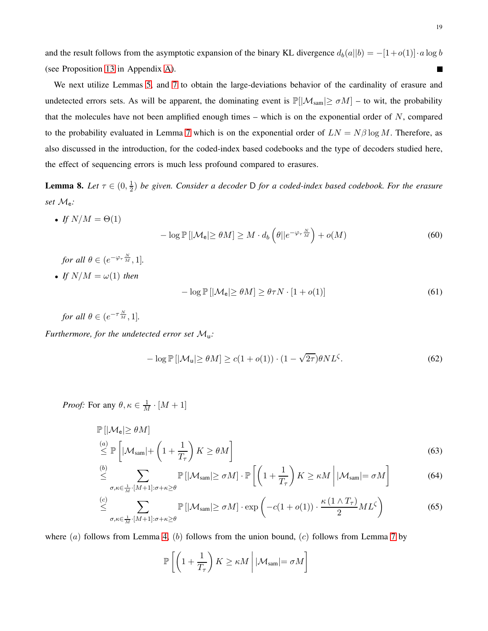and the result follows from the asymptotic expansion of the binary KL divergence  $d_b(a||b) = -[1+o(1)] \cdot a \log b$ (see Proposition [13](#page-32-0) in Appendix [A\)](#page-32-1).  $\blacksquare$ 

We next utilize Lemmas [5,](#page-14-0) and [7](#page-17-0) to obtain the large-deviations behavior of the cardinality of erasure and undetected errors sets. As will be apparent, the dominating event is  $\mathbb{P}[|\mathcal{M}_{sam}| \ge \sigma M]$  – to wit, the probability that the molecules have not been amplified enough times – which is on the exponential order of  $N$ , compared to the probability evaluated in Lemma [7](#page-17-0) which is on the exponential order of  $LN = N\beta \log M$ . Therefore, as also discussed in the introduction, for the coded-index based codebooks and the type of decoders studied here, the effect of sequencing errors is much less profound compared to erasures.

<span id="page-18-0"></span>**Lemma 8.** *Let*  $\tau \in (0, \frac{1}{2})$  $\frac{1}{2}$ ) *be given. Consider a decoder* D *for a coded-index based codebook. For the erasure set* Me*:*

- *If*  $N/M = \Theta(1)$  $-\log \mathbb{P}\left[|\mathcal{M}_{e}| \geq \theta M\right] \geq M \cdot d_{b}\left(\theta||e^{-\varphi_{\tau}\frac{N}{M}}\right) + o(M)$  (60)
	- *for all*  $\theta \in (e^{-\varphi_{\tau} \frac{N}{M}}, 1].$
- *If*  $N/M = \omega(1)$  *then*

$$
-\log \mathbb{P}\left[|\mathcal{M}_{e}| \geq \theta M\right] \geq \theta \tau N \cdot [1 + o(1)] \tag{61}
$$

*for all*  $\theta \in (e^{-\tau \frac{N}{M}}, 1]$ *.* 

*Furthermore, for the undetected error set* Mu*:*

$$
-\log \mathbb{P}\left[|\mathcal{M}_{\mathsf{u}}| \geq \theta M\right] \geq c(1 + o(1)) \cdot (1 - \sqrt{2\tau})\theta N L^{\zeta}.
$$
 (62)

*Proof:* For any  $\theta, \kappa \in \frac{1}{M} \cdot [M+1]$ 

$$
\mathbb{P}\left[\left|\mathcal{M}_{e}\right| \geq \theta M\right] \leq \mathbb{P}\left[\left|\mathcal{M}_{\text{sam}}\right| + \left(1 + \frac{1}{T_{\tau}}\right)K \geq \theta M\right]
$$
\n(63)

$$
\stackrel{(b)}{\leq} \sum_{\sigma,\kappa \in \frac{1}{M} \cdot [M+1]: \sigma + \kappa \geq \theta} \mathbb{P}\left[|\mathcal{M}_{\text{sam}}| \geq \sigma M\right] \cdot \mathbb{P}\left[\left(1 + \frac{1}{T_{\tau}}\right)K \geq \kappa M \middle| |\mathcal{M}_{\text{sam}}| = \sigma M\right] \tag{64}
$$

$$
\stackrel{(c)}{\leq} \sum_{\sigma,\kappa \in \frac{1}{M} \cdot [M+1]: \sigma + \kappa \geq \theta} \mathbb{P}\left[|\mathcal{M}_{\text{sam}}| \geq \sigma M\right] \cdot \exp\left(-c(1+o(1)) \cdot \frac{\kappa\left(1 \wedge T_{\tau}\right)}{2} M L^{\zeta}\right) \tag{65}
$$

where  $(a)$  follows from Lemma [4,](#page-13-0)  $(b)$  follows from the union bound,  $(c)$  follows from Lemma [7](#page-17-0) by

<span id="page-18-1"></span>
$$
\mathbb{P}\left[\left(1+\frac{1}{T_{\tau}}\right)K \geq \kappa M \middle| |\mathcal{M}_{\text{sam}}| = \sigma M \right]
$$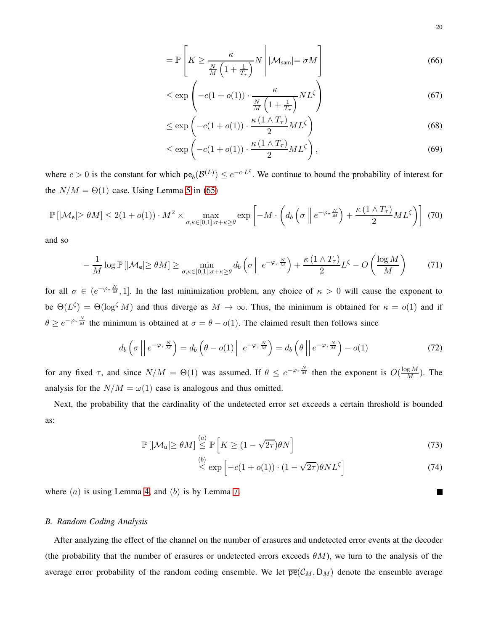$$
= \mathbb{P}\left[K \ge \frac{\kappa}{\frac{N}{M}\left(1 + \frac{1}{T_{\tau}}\right)}N\middle|\mathcal{M}_{\text{sam}}\middle| = \sigma M\right]
$$
\n(66)

$$
\leq \exp\left(-c(1+o(1))\cdot \frac{\kappa}{\frac{N}{M}\left(1+\frac{1}{T_{\tau}}\right)}NL^{\zeta}\right) \tag{67}
$$

$$
\leq \exp\left(-c(1+o(1))\cdot \frac{\kappa(1\wedge T_{\tau})}{2}ML^{\zeta}\right) \tag{68}
$$

$$
\leq \exp\left(-c(1+o(1))\cdot \frac{\kappa(1\wedge T_{\tau})}{2}ML^{\zeta}\right),\tag{69}
$$

where  $c > 0$  is the constant for which  $pe_b(\mathcal{B}^{(L)}) \leq e^{-c \cdot L^{\zeta}}$ . We continue to bound the probability of interest for the  $N/M = \Theta(1)$  case. Using Lemma [5](#page-14-0) in [\(65\)](#page-18-1)

$$
\mathbb{P}\left[|\mathcal{M}_{\mathsf{e}}| \geq \theta M\right] \leq 2(1+o(1)) \cdot M^2 \times \max_{\sigma,\kappa \in [0,1]:\sigma+\kappa \geq \theta} \exp\left[-M \cdot \left(d_b\left(\sigma \left\|e^{-\varphi_\tau \frac{N}{M}}\right) + \frac{\kappa\left(1 \wedge T_\tau\right)}{2} M L^\zeta\right)\right] \tag{70}
$$

and so

$$
-\frac{1}{M}\log\mathbb{P}\left[|\mathcal{M}_{e}|\geq\theta M\right]\geq\min_{\sigma,\kappa\in[0,1]:\sigma+\kappa\geq\theta}d_{b}\left(\sigma\left|\left|e^{-\varphi_{\tau}\frac{N}{M}}\right.\right\rangle+\frac{\kappa\left(1\wedge T_{\tau}\right)}{2}L^{\zeta}-O\left(\frac{\log M}{M}\right)\right]
$$
(71)

for all  $\sigma \in (e^{-\varphi_{\tau} \frac{N}{M}}, 1]$ . In the last minimization problem, any choice of  $\kappa > 0$  will cause the exponent to be  $\Theta(L^{\zeta}) = \Theta(\log^{\zeta} M)$  and thus diverge as  $M \to \infty$ . Thus, the minimum is obtained for  $\kappa = o(1)$  and if  $\theta \ge e^{-\varphi_{\tau} \frac{N}{M}}$  the minimum is obtained at  $\sigma = \theta - o(1)$ . The claimed result then follows since

$$
d_b\left(\sigma \left| \left| e^{-\varphi_\tau \frac{N}{M}} \right.\right\right) = d_b\left(\theta - o(1) \left| \left| e^{-\varphi_\tau \frac{N}{M}} \right.\right\right) = d_b\left(\theta \left| \left| e^{-\varphi_\tau \frac{N}{M}} \right.\right) - o(1) \tag{72}
$$

for any fixed  $\tau$ , and since  $N/M = \Theta(1)$  was assumed. If  $\theta \le e^{-\varphi_{\tau} \frac{N}{M}}$  then the exponent is  $O(\frac{\log M}{M})$ . The analysis for the  $N/M = \omega(1)$  case is analogous and thus omitted.

Next, the probability that the cardinality of the undetected error set exceeds a certain threshold is bounded as:

$$
\mathbb{P}\left[|\mathcal{M}_{\mathsf{u}}|\geq\theta M\right] \stackrel{(a)}{\leq} \mathbb{P}\left[K\geq(1-\sqrt{2\tau})\theta N\right]
$$
\n(73)

$$
\stackrel{(b)}{\leq} \exp\left[-c(1+o(1)) \cdot (1-\sqrt{2\tau})\theta NL^{\zeta}\right]
$$
\n(74)

<span id="page-19-0"></span>where  $(a)$  is using Lemma [4,](#page-13-0) and  $(b)$  is by Lemma [7.](#page-17-0)

# *B. Random Coding Analysis*

After analyzing the effect of the channel on the number of erasures and undetected error events at the decoder (the probability that the number of erasures or undetected errors exceeds  $\theta M$ ), we turn to the analysis of the average error probability of the random coding ensemble. We let  $\overline{pe}(\mathcal{C}_M, D_M)$  denote the ensemble average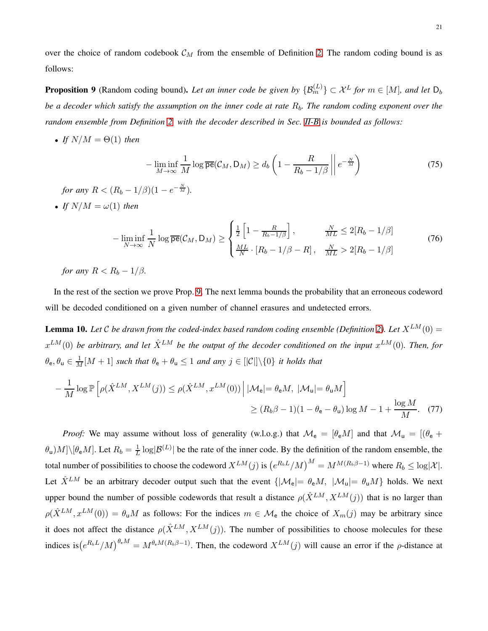over the choice of random codebook  $C_M$  from the ensemble of Definition [2.](#page-8-2) The random coding bound is as follows:

<span id="page-20-0"></span>**Proposition 9** (Random coding bound). Let an inner code be given by  $\{\mathcal{B}_m^{(L)}\}\subset \mathcal{X}^L$  for  $m\in [M]$ , and let  $D_b$ *be a decoder which satisfy the assumption on the inner code at rate*  $R_b$ . The random coding exponent over the *random ensemble from Definition [2,](#page-8-2) with the decoder described in Sec. [II-B](#page-5-2) is bounded as follows:*

• *If*  $N/M = \Theta(1)$  *then* 

$$
-\liminf_{M \to \infty} \frac{1}{M} \log \overline{\mathsf{pe}}(\mathcal{C}_M, \mathsf{D}_M) \ge d_b \left( 1 - \frac{R}{R_b - 1/\beta} \left\| e^{-\frac{N}{M}} \right) \right)
$$
(75)

*for any*  $R < (R_b - 1/\beta)(1 - e^{-\frac{N}{M}})$ *.* 

• *If*  $N/M = \omega(1)$  *then* 

$$
-\liminf_{N \to \infty} \frac{1}{N} \log \overline{\mathsf{pe}}(\mathcal{C}_M, \mathsf{D}_M) \ge \begin{cases} \frac{1}{2} \left[ 1 - \frac{R}{R_b - 1/\beta} \right], & \frac{N}{ML} \le 2[R_b - 1/\beta] \\ \frac{ML}{N} \cdot [R_b - 1/\beta - R], & \frac{N}{ML} > 2[R_b - 1/\beta] \end{cases}
$$
(76)

*for any*  $R < R_b - 1/\beta$ .

In the rest of the section we prove Prop. [9.](#page-20-0) The next lemma bounds the probability that an erroneous codeword will be decoded conditioned on a given number of channel erasures and undetected errors.

<span id="page-20-1"></span>**Lemma 10.** Let C be drawn from the coded-index based random coding ensemble (Definition [2\)](#page-8-2). Let  $X^{LM}(0)$  =  $x^{LM}(0)$  be arbitrary, and let  $\hat{X}^{LM}$  be the output of the decoder conditioned on the input  $x^{LM}(0)$ . Then, for  $\theta_e, \theta_u \in \frac{1}{M}[M+1]$  *such that*  $\theta_e + \theta_u \le 1$  *and any*  $j \in [|\mathcal{C}|] \setminus \{0\}$  *it holds that* 

$$
-\frac{1}{M}\log \mathbb{P}\left[\rho(\hat{X}^{LM}, X^{LM}(j)) \le \rho(\hat{X}^{LM}, x^{LM}(0)) \Big| |\mathcal{M}_{e}| = \theta_{e}M, |\mathcal{M}_{u}| = \theta_{u}M\right] \ge (R_{b}\beta - 1)(1 - \theta_{e} - \theta_{u})\log M - 1 + \frac{\log M}{M}.
$$
 (77)

*Proof:* We may assume without loss of generality (w.l.o.g.) that  $\mathcal{M}_e = [\theta_e M]$  and that  $\mathcal{M}_u = [(\theta_e +$  $\theta_{\sf u})M]\backslash [\theta_{\sf e}M].$  Let  $R_b=\frac{1}{L}$  $\frac{1}{L} \log |\mathcal{B}^{(L)}|$  be the rate of the inner code. By the definition of the random ensemble, the total number of possibilities to choose the codeword  $X^{LM}(j)$  is  $(e^{R_b L}/M)^M = M^{M(R_b \beta - 1)}$  where  $R_b \le \log |\mathcal{X}|$ . Let  $\hat{X}^{LM}$  be an arbitrary decoder output such that the event  $\{|\mathcal{M}_e| = \theta_e M, |\mathcal{M}_u| = \theta_u M\}$  holds. We next upper bound the number of possible codewords that result a distance  $\rho(\hat{X}^{LM}, X^{LM}(j))$  that is no larger than  $\rho(\hat{X}^{LM}, x^{LM}(0)) = \theta_u M$  as follows: For the indices  $m \in \mathcal{M}_e$  the choice of  $X_m(j)$  may be arbitrary since it does not affect the distance  $\rho(\hat{X}^{LM}, X^{LM}(j))$ . The number of possibilities to choose molecules for these indices is  $(e^{R_b L}/M)^{\theta_e M} = M^{\theta_e M (R_b \beta - 1)}$ . Then, the codeword  $X^{LM}(j)$  will cause an error if the  $\rho$ -distance at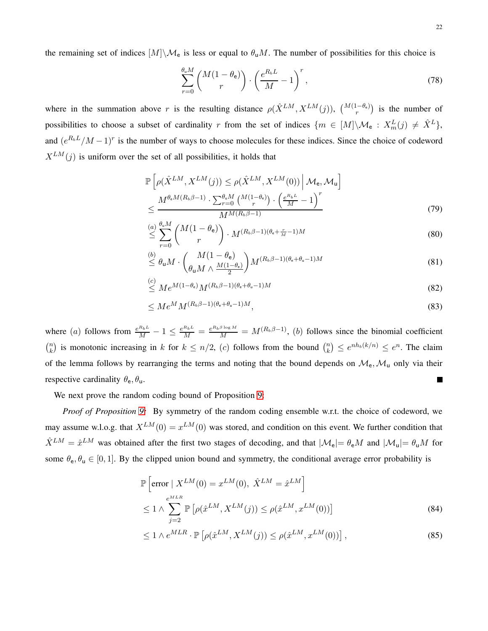the remaining set of indices  $[M]\setminus\mathcal{M}_e$  is less or equal to  $\theta_uM$ . The number of possibilities for this choice is

$$
\sum_{r=0}^{\theta_{\rm u}M} \binom{M(1-\theta_{\rm e})}{r} \cdot \left(\frac{e^{R_b L}}{M} - 1\right)^r,\tag{78}
$$

where in the summation above r is the resulting distance  $\rho(\hat{X}^{LM}, X^{LM}(j))$ ,  $\binom{M(1-\theta_e)}{r}$  is the number of possibilities to choose a subset of cardinality r from the set of indices  $\{m \in [M] \setminus \mathcal{M}_e : X_m^L(j) \neq \hat{X}^L\}$ , and  $(e^{R_bL}/M-1)^r$  is the number of ways to choose molecules for these indices. Since the choice of codeword  $X^{LM}(j)$  is uniform over the set of all possibilities, it holds that

$$
\mathbb{P}\left[\rho(\hat{X}^{LM}, X^{LM}(j)) \leq \rho(\hat{X}^{LM}, X^{LM}(0)) \Big| \mathcal{M}_{e}, \mathcal{M}_{u}\right] \leq \frac{M^{\theta_{e}M(R_{b}\beta-1)} \cdot \sum_{r=0}^{\theta_{u}M} {M(1-\theta_{e})} \cdot \left(\frac{e^{R_{b}L}}{M} - 1\right)^{r}}{M^{M(R_{b}\beta-1)}}
$$
\n(79)

$$
\stackrel{(a)}{\leq} \sum_{r=0}^{\theta_u M} \binom{M(1-\theta_e)}{r} \cdot M^{(R_b\beta-1)(\theta_e + \frac{r}{M}-1)M} \tag{80}
$$

$$
\stackrel{(b)}{\leq} \theta_{\mathsf{u}} M \cdot \binom{M(1-\theta_{\mathsf{e}})}{\theta_{\mathsf{u}} M \wedge \frac{M(1-\theta_{\mathsf{e}})}{2}} M^{(R_b \beta - 1)(\theta_{\mathsf{e}} + \theta_{\mathsf{u}} - 1)M} \tag{81}
$$

$$
\stackrel{(c)}{\leq} Me^{M(1-\theta_e)}M^{(R_b\beta-1)(\theta_e+\theta_u-1)M} \tag{82}
$$

$$
\leq Me^M M^{(R_b \beta - 1)(\theta_e + \theta_u - 1)M},\tag{83}
$$

where (a) follows from  $\frac{e^{R_b L}}{M} - 1 \le \frac{e^{R_b B}}{M} = \frac{e^{R_b \beta \log M}}{M} = M^{(R_b \beta - 1)}$ , (b) follows since the binomial coefficient  $\binom{n}{k}$  $\binom{n}{k}$  is monotonic increasing in k for  $k \leq n/2$ , (c) follows from the bound  $\binom{n}{k}$  ${k \choose k} \leq e^{nh_b(k/n)} \leq e^n$ . The claim of the lemma follows by rearranging the terms and noting that the bound depends on  $\mathcal{M}_e$ ,  $\mathcal{M}_u$  only via their respective cardinality  $\theta_e$ ,  $\theta_u$ . П

We next prove the random coding bound of Proposition [9:](#page-20-0)

*Proof of Proposition [9:](#page-20-0)* By symmetry of the random coding ensemble w.r.t. the choice of codeword, we may assume w.l.o.g. that  $X^{LM}(0) = x^{LM}(0)$  was stored, and condition on this event. We further condition that  $\hat{X}^{LM} = \hat{x}^{LM}$  was obtained after the first two stages of decoding, and that  $|\mathcal{M}_e| = \theta_e M$  and  $|\mathcal{M}_u| = \theta_u M$  for some  $\theta_e$ ,  $\theta_u \in [0, 1]$ . By the clipped union bound and symmetry, the conditional average error probability is

$$
\mathbb{P}\left[\text{error} \mid X^{LM}(0) = x^{LM}(0), \ \hat{X}^{LM} = \hat{x}^{LM}\right]
$$
\n
$$
\leq 1 \wedge \sum_{j=2}^{e^{MLR}} \mathbb{P}\left[\rho(\hat{x}^{LM}, X^{LM}(j)) \leq \rho(\hat{x}^{LM}, x^{LM}(0))\right]
$$
\n(84)

$$
\leq 1 \wedge e^{MLR} \cdot \mathbb{P}\left[\rho(\hat{x}^{LM}, X^{LM}(j)) \leq \rho(\hat{x}^{LM}, x^{LM}(0))\right],\tag{85}
$$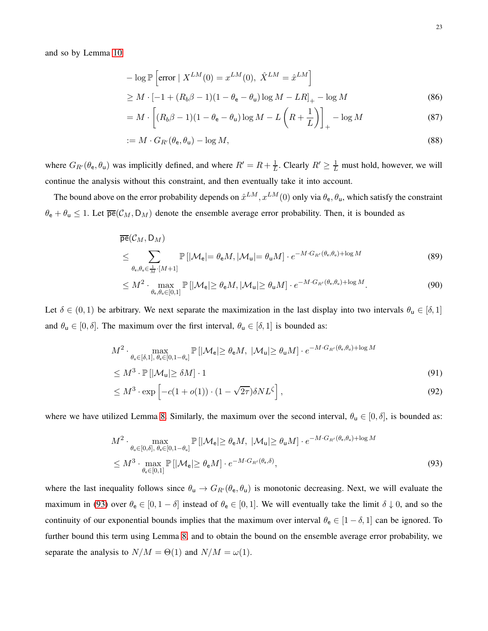and so by Lemma [10](#page-20-1)

$$
-\log \mathbb{P}\left[\text{error} \mid X^{LM}(0) = x^{LM}(0), \ \hat{X}^{LM} = \hat{x}^{LM}\right]
$$

$$
\geq M \cdot \left[-1 + (R_b \beta - 1)(1 - \theta_e - \theta_u)\log M - LR\right]_+ - \log M \tag{86}
$$

$$
= M \cdot \left[ (R_b \beta - 1)(1 - \theta_e - \theta_u) \log M - L \left( R + \frac{1}{L} \right) \right]_+ - \log M \tag{87}
$$

$$
:= M \cdot G_{R'}(\theta_{\mathsf{e}}, \theta_{\mathsf{u}}) - \log M,\tag{88}
$$

where  $G_{R}(\theta_e, \theta_u)$  was implicitly defined, and where  $R' = R + \frac{1}{L}$  $\frac{1}{L}$ . Clearly  $R' \geq \frac{1}{L}$  must hold, however, we will continue the analysis without this constraint, and then eventually take it into account.

The bound above on the error probability depends on  $\hat{x}^{LM}$ ,  $x^{LM}(0)$  only via  $\theta_e$ ,  $\theta_u$ , which satisfy the constraint  $\theta_e + \theta_u \le 1$ . Let  $\overline{pe}(C_M, D_M)$  denote the ensemble average error probability. Then, it is bounded as

<span id="page-22-1"></span>
$$
\overline{\mathsf{pe}}(\mathcal{C}_M, \mathsf{D}_M)
$$
\n
$$
\leq \sum_{\theta_{\mathsf{e}}, \theta_{\mathsf{u}} \in \frac{1}{M} \cdot [M+1]} \mathbb{P}\left[|\mathcal{M}_{\mathsf{e}}| = \theta_{\mathsf{e}} M, |\mathcal{M}_{\mathsf{u}}| = \theta_{\mathsf{u}} M\right] \cdot e^{-M \cdot G_{R'}(\theta_{\mathsf{e}}, \theta_{\mathsf{u}}) + \log M} \tag{89}
$$
\n
$$
\leq M^2 \cdot \max_{\theta_{\mathsf{e}} \in \mathcal{M}} \mathbb{P}\left[|M_{\mathsf{e}}| > \theta_{\mathsf{e}} M \mid M_{\mathsf{e}}| > \theta_{\mathsf{e}} M\right] \cdot e^{-M \cdot G_{R'}(\theta_{\mathsf{e}}, \theta_{\mathsf{u}}) + \log M} \tag{90}
$$

$$
\leq M^2 \cdot \max_{\theta_{\mathbf{e}}, \theta_{\mathbf{u}} \in [0,1]} \mathbb{P}\left[|\mathcal{M}_{\mathbf{e}}| \geq \theta_{\mathbf{e}} M, |\mathcal{M}_{\mathbf{u}}| \geq \theta_{\mathbf{u}} M\right] \cdot e^{-M \cdot G_{R'}(\theta_{\mathbf{e}}, \theta_{\mathbf{u}}) + \log M}.\tag{90}
$$

Let  $\delta \in (0,1)$  be arbitrary. We next separate the maximization in the last display into two intervals  $\theta_u \in [\delta,1]$ and  $\theta_u \in [0, \delta]$ . The maximum over the first interval,  $\theta_u \in [\delta, 1]$  is bounded as:

$$
M^{2} \cdot \max_{\theta_{\mathbf{u}} \in [\delta, 1], \theta_{\mathbf{e}} \in [0, 1 - \theta_{\mathbf{u}}]} \mathbb{P} \left[ |\mathcal{M}_{\mathbf{e}}| \geq \theta_{\mathbf{e}} M, \ |\mathcal{M}_{\mathbf{u}}| \geq \theta_{\mathbf{u}} M \right] \cdot e^{-M \cdot G_{R'}(\theta_{\mathbf{e}}, \theta_{\mathbf{u}}) + \log M}
$$
  

$$
\leq M^{3} \cdot \mathbb{P} \left[ |\mathcal{M}_{\mathbf{u}}| \geq \delta M \right] \cdot 1
$$
 (91)

<span id="page-22-2"></span>
$$
\leq M^3 \cdot \exp\left[-c(1+o(1)) \cdot (1-\sqrt{2\tau})\delta N L^{\zeta}\right],\tag{92}
$$

where we have utilized Lemma [8.](#page-18-0) Similarly, the maximum over the second interval,  $\theta_u \in [0, \delta]$ , is bounded as:

<span id="page-22-0"></span>
$$
M^{2} \cdot \max_{\theta_{u} \in [0,\delta], \theta_{e} \in [0,1-\theta_{u}]} \mathbb{P}\left[|\mathcal{M}_{e}| \geq \theta_{e}M, |\mathcal{M}_{u}| \geq \theta_{u}M\right] \cdot e^{-M \cdot G_{R'}(\theta_{e},\theta_{u}) + \log M}
$$
  

$$
\leq M^{3} \cdot \max_{\theta_{e} \in [0,1]} \mathbb{P}\left[|\mathcal{M}_{e}| \geq \theta_{e}M\right] \cdot e^{-M \cdot G_{R'}(\theta_{e},\delta)},
$$
(93)

where the last inequality follows since  $\theta_u \to G_{R'}(\theta_e, \theta_u)$  is monotonic decreasing. Next, we will evaluate the maximum in [\(93\)](#page-22-0) over  $\theta_e \in [0, 1 - \delta]$  instead of  $\theta_e \in [0, 1]$ . We will eventually take the limit  $\delta \downarrow 0$ , and so the continuity of our exponential bounds implies that the maximum over interval  $\theta_e \in [1 - \delta, 1]$  can be ignored. To further bound this term using Lemma [8,](#page-18-0) and to obtain the bound on the ensemble average error probability, we separate the analysis to  $N/M = \Theta(1)$  and  $N/M = \omega(1)$ .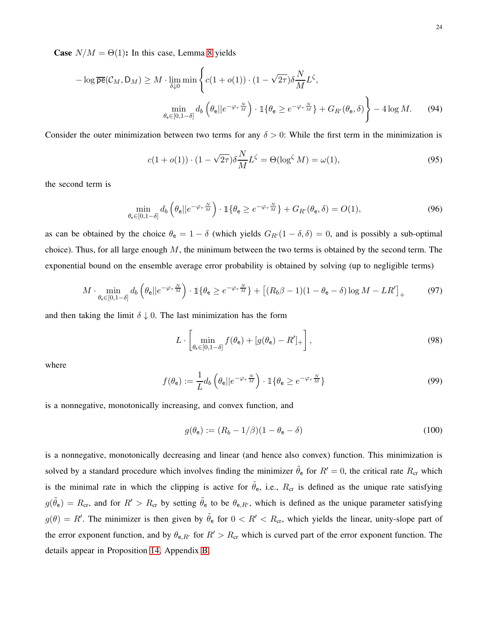**Case**  $N/M = \Theta(1)$ : In this case, Lemma [8](#page-18-0) yields

$$
-\log \overline{\mathsf{pe}}(\mathcal{C}_M, \mathsf{D}_M) \ge M \cdot \lim_{\delta \downarrow 0} \min \left\{ c(1 + o(1)) \cdot (1 - \sqrt{2\tau}) \delta \frac{N}{M} L^{\zeta}, \right\}
$$

$$
\min_{\theta_{\mathsf{e}} \in [0, 1 - \delta]} d_b \left( \theta_{\mathsf{e}} || e^{-\varphi_{\tau} \frac{N}{M}} \right) \cdot \mathbb{1} \{ \theta_{\mathsf{e}} \ge e^{-\varphi_{\tau} \frac{N}{M}} \} + G_{R'}(\theta_{\mathsf{e}}, \delta) \right\} - 4 \log M. \tag{94}
$$

Consider the outer minimization between two terms for any  $\delta > 0$ : While the first term in the minimization is

$$
c(1 + o(1)) \cdot (1 - \sqrt{2\tau})\delta \frac{N}{M} L^{\zeta} = \Theta(\log^{\zeta} M) = \omega(1),\tag{95}
$$

the second term is

$$
\min_{\theta_{\mathbf{e}} \in [0,1-\delta]} d_b \left( \theta_{\mathbf{e}} || e^{-\varphi_{\tau} \frac{N}{M}} \right) \cdot \mathbb{1} \{ \theta_{\mathbf{e}} \ge e^{-\varphi_{\tau} \frac{N}{M}} \} + G_{R'}(\theta_{\mathbf{e}}, \delta) = O(1),\tag{96}
$$

as can be obtained by the choice  $\theta_e = 1 - \delta$  (which yields  $G_{R'}(1 - \delta, \delta) = 0$ , and is possibly a sub-optimal choice). Thus, for all large enough  $M$ , the minimum between the two terms is obtained by the second term. The exponential bound on the ensemble average error probability is obtained by solving (up to negligible terms)

$$
M \cdot \min_{\theta_{\mathbf{e}} \in [0,1-\delta]} d_b \left( \theta_{\mathbf{e}} || e^{-\varphi_{\tau} \frac{N}{M}} \right) \cdot \mathbb{1} \{ \theta_{\mathbf{e}} \ge e^{-\varphi_{\tau} \frac{N}{M}} \} + \left[ (R_b \beta - 1)(1 - \theta_{\mathbf{e}} - \delta) \log M - LR' \right]_+ \tag{97}
$$

and then taking the limit  $\delta \downarrow 0$ . The last minimization has the form

$$
L \cdot \left[ \min_{\theta_{e} \in [0, 1-\delta]} f(\theta_{e}) + [g(\theta_{e}) - R']_{+} \right],
$$
\n(98)

where

$$
f(\theta_{\mathbf{e}}) := \frac{1}{L} d_b \left( \theta_{\mathbf{e}} || e^{-\varphi_{\tau} \frac{N}{M}} \right) \cdot \mathbb{1} \{ \theta_{\mathbf{e}} \ge e^{-\varphi_{\tau} \frac{N}{M}} \}
$$
(99)

is a nonnegative, monotonically increasing, and convex function, and

$$
g(\theta_{\mathbf{e}}) := (R_b - 1/\beta)(1 - \theta_{\mathbf{e}} - \delta) \tag{100}
$$

is a nonnegative, monotonically decreasing and linear (and hence also convex) function. This minimization is solved by a standard procedure which involves finding the minimizer  $\tilde{\theta}_e$  for  $R' = 0$ , the critical rate  $R_{cr}$  which is the minimal rate in which the clipping is active for  $\tilde{\theta}_e$ , i.e.,  $R_{cr}$  is defined as the unique rate satisfying  $g(\tilde{\theta}_e) = R_{cr}$ , and for  $R' > R_{cr}$  by setting  $\tilde{\theta}_e$  to be  $\theta_{e,R'}$ , which is defined as the unique parameter satisfying  $g(\theta) = R'$ . The minimizer is then given by  $\tilde{\theta}_e$  for  $0 < R' < R_{cr}$ , which yields the linear, unity-slope part of the error exponent function, and by  $\theta_{e,R'}$  for  $R' > R_{cr}$  which is curved part of the error exponent function. The details appear in Proposition [14,](#page-32-2) Appendix [B.](#page-32-3)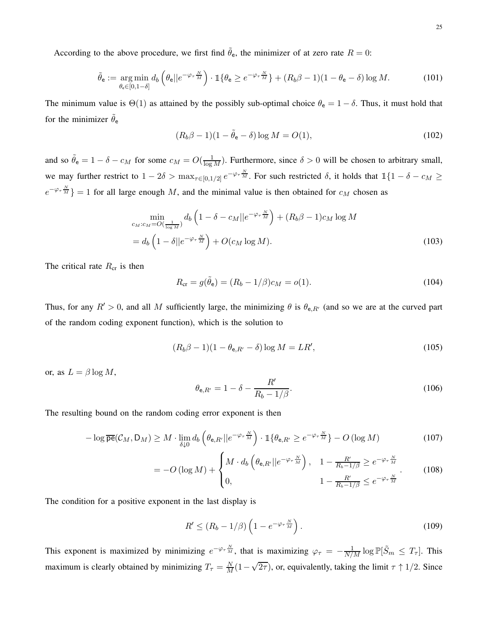According to the above procedure, we first find  $\tilde{\theta}_e$ , the minimizer of at zero rate  $R = 0$ :

$$
\tilde{\theta}_{\mathbf{e}} := \underset{\theta_{\mathbf{e}} \in [0,1-\delta]}{\arg \min} d_{b} \left( \theta_{\mathbf{e}} || e^{-\varphi_{\tau} \frac{N}{M}} \right) \cdot \mathbb{1} \{ \theta_{\mathbf{e}} \ge e^{-\varphi_{\tau} \frac{N}{M}} \} + (R_{b}\beta - 1)(1 - \theta_{\mathbf{e}} - \delta) \log M. \tag{101}
$$

The minimum value is  $\Theta(1)$  as attained by the possibly sub-optimal choice  $\theta_e = 1 - \delta$ . Thus, it must hold that for the minimizer  $\theta_e$ 

$$
(R_b \beta - 1)(1 - \tilde{\theta}_e - \delta) \log M = O(1),\tag{102}
$$

and so  $\tilde{\theta}_e = 1 - \delta - c_M$  for some  $c_M = O(\frac{1}{\log M})$ . Furthermore, since  $\delta > 0$  will be chosen to arbitrary small, we may further restrict to  $1-2\delta > \max_{\tau \in [0,1/2]} e^{-\varphi_{\tau} \frac{N}{M}}$ . For such restricted  $\delta$ , it holds that  $\mathbb{1}{1-\delta - c_M} \ge$  $e^{-\varphi_{\tau} \frac{N}{M}}$  = 1 for all large enough M, and the minimal value is then obtained for  $c_M$  chosen as

$$
\min_{c_M : c_M = O\left(\frac{1}{\log M}\right)} d_b \left(1 - \delta - c_M ||e^{-\varphi_\tau \frac{N}{M}}\right) + (R_b \beta - 1)c_M \log M
$$
\n
$$
= d_b \left(1 - \delta ||e^{-\varphi_\tau \frac{N}{M}}\right) + O(c_M \log M). \tag{103}
$$

The critical rate  $R_{cr}$  is then

$$
R_{\rm cr} = g(\tilde{\theta}_{\rm e}) = (R_b - 1/\beta)c_M = o(1). \tag{104}
$$

Thus, for any  $R' > 0$ , and all M sufficiently large, the minimizing  $\theta$  is  $\theta_{e,R'}$  (and so we are at the curved part of the random coding exponent function), which is the solution to

$$
(R_b \beta - 1)(1 - \theta_{e,R'} - \delta) \log M = LR',
$$
\n(105)

or, as  $L = \beta \log M$ ,

$$
\theta_{\mathsf{e},R'} = 1 - \delta - \frac{R'}{R_b - 1/\beta}.
$$
\n(106)

The resulting bound on the random coding error exponent is then

$$
-\log \overline{\mathsf{pe}}(\mathcal{C}_M, \mathsf{D}_M) \ge M \cdot \lim_{\delta \downarrow 0} d_b \left( \theta_{\mathsf{e}, R'} || e^{-\varphi_\tau \frac{N}{M}} \right) \cdot \mathbb{1} \{ \theta_{\mathsf{e}, R'} \ge e^{-\varphi_\tau \frac{N}{M}} \} - O \left( \log M \right) \tag{107}
$$

$$
= -O\left(\log M\right) + \begin{cases} M \cdot d_b\left(\theta_{\mathsf{e},R'}||e^{-\varphi_\tau \frac{N}{M}}\right), & 1 - \frac{R'}{R_b - 1/\beta} \ge e^{-\varphi_\tau \frac{N}{M}}\\ 0, & 1 - \frac{R'}{R_b - 1/\beta} \le e^{-\varphi_\tau \frac{N}{M}} \end{cases} \tag{108}
$$

The condition for a positive exponent in the last display is

$$
R' \le (R_b - 1/\beta) \left( 1 - e^{-\varphi_\tau \frac{N}{M}} \right). \tag{109}
$$

This exponent is maximized by minimizing  $e^{-\varphi_{\tau}\frac{N}{M}}$ , that is maximizing  $\varphi_{\tau} = -\frac{1}{N/M} \log \mathbb{P}[\tilde{S}_m \leq T_{\tau}]$ . This maximum is clearly obtained by minimizing  $T_{\tau} = \frac{N}{M}(1-\sqrt{2\tau})$ , or, equivalently, taking the limit  $\tau \uparrow 1/2$ . Since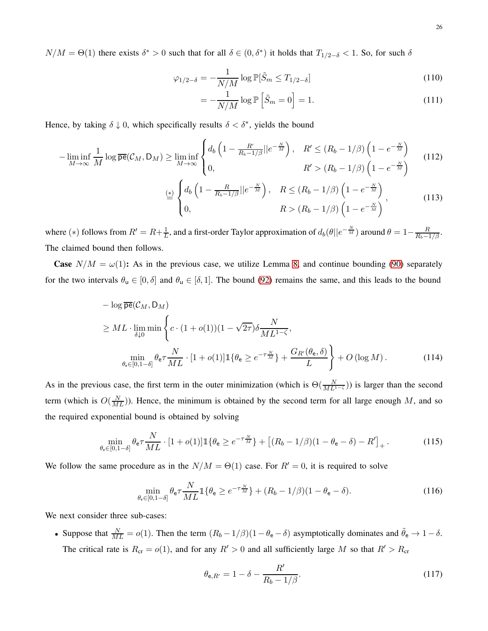$N/M = \Theta(1)$  there exists  $\delta^* > 0$  such that for all  $\delta \in (0, \delta^*)$  it holds that  $T_{1/2-\delta} < 1$ . So, for such  $\delta$ 

$$
\varphi_{1/2-\delta} = -\frac{1}{N/M} \log \mathbb{P}[\tilde{S}_m \le T_{1/2-\delta}] \tag{110}
$$

$$
= -\frac{1}{N/M} \log \mathbb{P}\left[\tilde{S}_m = 0\right] = 1. \tag{111}
$$

Hence, by taking  $\delta \downarrow 0$ , which specifically results  $\delta < \delta^*$ , yields the bound

$$
-\liminf_{M \to \infty} \frac{1}{M} \log \overline{pe}(\mathcal{C}_M, D_M) \ge \liminf_{M \to \infty} \begin{cases} d_b \left( 1 - \frac{R'}{R_b - 1/\beta} || e^{-\frac{N}{M}} \right), & R' \le (R_b - 1/\beta) \left( 1 - e^{-\frac{N}{M}} \right) \\ 0, & R' > (R_b - 1/\beta) \left( 1 - e^{-\frac{N}{M}} \right) \end{cases} \tag{112}
$$
\n
$$
\stackrel{\left(\frac{*}{2}\right)}{\equiv} \begin{cases} d_b \left( 1 - \frac{R}{R_b - 1/\beta} || e^{-\frac{N}{M}} \right), & R \le (R_b - 1/\beta) \left( 1 - e^{-\frac{N}{M}} \right) \\ 0, & R > (R_b - 1/\beta) \left( 1 - e^{-\frac{N}{M}} \right) \end{cases}, \tag{113}
$$

where (\*) follows from  $R' = R + \frac{1}{L}$  $\frac{1}{L}$ , and a first-order Taylor approximation of  $d_b(\theta || e^{-\frac{N}{M}})$  around  $\theta = 1 - \frac{R}{R_b - 1/\beta}$ . The claimed bound then follows.

**Case**  $N/M = \omega(1)$ : As in the previous case, we utilize Lemma [8,](#page-18-0) and continue bounding [\(90\)](#page-22-1) separately for the two intervals  $\theta_u \in [0, \delta]$  and  $\theta_u \in [\delta, 1]$ . The bound [\(92\)](#page-22-2) remains the same, and this leads to the bound

$$
- \log \overline{\mathbf{pe}}(\mathcal{C}_M, \mathbf{D}_M)
$$
  
\n
$$
\geq ML \cdot \lim_{\delta \downarrow 0} \min \left\{ c \cdot (1 + o(1))(1 - \sqrt{2\tau}) \delta \frac{N}{ML^{1-\zeta}}, \right\}
$$
  
\n
$$
\min_{\theta_e \in [0, 1-\delta]} \theta_e \tau \frac{N}{ML} \cdot [1 + o(1)] \mathbb{1} \{\theta_e \geq e^{-\tau \frac{N}{M}}\} + \frac{G_{R'}(\theta_e, \delta)}{L} \right\} + O(\log M). \tag{114}
$$

As in the previous case, the first term in the outer minimization (which is  $\Theta(\frac{N}{ML^{1-\zeta}})$ ) is larger than the second term (which is  $O(\frac{N}{ML})$ ). Hence, the minimum is obtained by the second term for all large enough M, and so the required exponential bound is obtained by solving

$$
\min_{\theta_{\mathbf{e}} \in [0,1-\delta]} \theta_{\mathbf{e}} \tau \frac{N}{ML} \cdot [1+o(1)] \mathbb{1} \{ \theta_{\mathbf{e}} \ge e^{-\tau \frac{N}{M}} \} + \left[ (R_b - 1/\beta)(1 - \theta_{\mathbf{e}} - \delta) - R' \right]_+.
$$
\n(115)

We follow the same procedure as in the  $N/M = \Theta(1)$  case. For  $R' = 0$ , it is required to solve

$$
\min_{\theta_{\mathbf{e}} \in [0,1-\delta]} \theta_{\mathbf{e}} \tau \frac{N}{ML} \mathbb{1} \{ \theta_{\mathbf{e}} \ge e^{-\tau \frac{N}{M}} \} + (R_b - 1/\beta)(1 - \theta_{\mathbf{e}} - \delta). \tag{116}
$$

We next consider three sub-cases:

• Suppose that  $\frac{N}{ML} = o(1)$ . Then the term  $(R_b - 1/\beta)(1 - \theta_e - \delta)$  asymptotically dominates and  $\tilde{\theta}_e \to 1 - \delta$ . The critical rate is  $R_{cr} = o(1)$ , and for any  $R' > 0$  and all sufficiently large M so that  $R' > R_{cr}$ 

$$
\theta_{e,R'} = 1 - \delta - \frac{R'}{R_b - 1/\beta}.
$$
\n(117)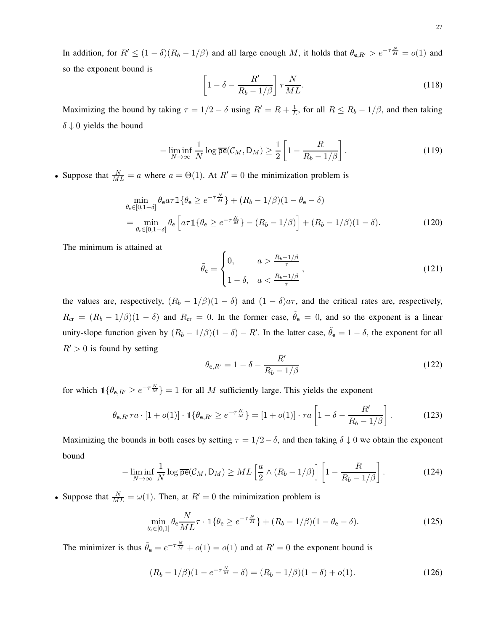In addition, for  $R' \le (1 - \delta)(R_b - 1/\beta)$  and all large enough M, it holds that  $\theta_{e,R'} > e^{-\tau \frac{N}{M}} = o(1)$  and so the exponent bound is

$$
\left[1 - \delta - \frac{R'}{R_b - 1/\beta}\right] \tau \frac{N}{ML}.
$$
\n(118)

Maximizing the bound by taking  $\tau = 1/2 - \delta$  using  $R' = R + \frac{1}{L}$  $\frac{1}{L}$ , for all  $R \leq R_b - 1/\beta$ , and then taking  $\delta \downarrow 0$  yields the bound

$$
-\liminf_{N \to \infty} \frac{1}{N} \log \overline{\mathsf{pe}}(\mathcal{C}_M, \mathsf{D}_M) \ge \frac{1}{2} \left[ 1 - \frac{R}{R_b - 1/\beta} \right]. \tag{119}
$$

• Suppose that  $\frac{N}{ML} = a$  where  $a = \Theta(1)$ . At  $R' = 0$  the minimization problem is

$$
\min_{\theta_{e} \in [0,1-\delta]} \theta_{e} a \tau \mathbb{1} \{ \theta_{e} \ge e^{-\tau \frac{N}{M}} \} + (R_{b} - 1/\beta)(1 - \theta_{e} - \delta)
$$
\n
$$
= \min_{\theta_{e} \in [0,1-\delta]} \theta_{e} \left[ a \tau \mathbb{1} \{ \theta_{e} \ge e^{-\tau \frac{N}{M}} \} - (R_{b} - 1/\beta) \right] + (R_{b} - 1/\beta)(1 - \delta). \tag{120}
$$

The minimum is attained at

$$
\tilde{\theta}_{\mathbf{e}} = \begin{cases} 0, & a > \frac{R_b - 1/\beta}{\tau} \\ 1 - \delta, & a < \frac{R_b - 1/\beta}{\tau} \end{cases},\tag{121}
$$

the values are, respectively,  $(R_b - 1/\beta)(1 - \delta)$  and  $(1 - \delta)a\tau$ , and the critical rates are, respectively,  $R_{cr} = (R_b - 1/\beta)(1 - \delta)$  and  $R_{cr} = 0$ . In the former case,  $\tilde{\theta}_e = 0$ , and so the exponent is a linear unity-slope function given by  $(R_b - 1/\beta)(1 - \delta) - R'$ . In the latter case,  $\tilde{\theta}_e = 1 - \delta$ , the exponent for all  $R' > 0$  is found by setting

$$
\theta_{\mathbf{e},R'} = 1 - \delta - \frac{R'}{R_b - 1/\beta} \tag{122}
$$

for which  $\mathbb{1}\{\theta_{e,R'} \geq e^{-\tau \frac{N}{M}}\} = 1$  for all M sufficiently large. This yields the exponent

$$
\theta_{e,R'}\tau a \cdot [1+o(1)] \cdot \mathbb{1}\{\theta_{e,R'} \ge e^{-\tau \frac{N}{M}}\} = [1+o(1)] \cdot \tau a \left[1 - \delta - \frac{R'}{R_b - 1/\beta}\right].
$$
 (123)

Maximizing the bounds in both cases by setting  $\tau = 1/2 - \delta$ , and then taking  $\delta \downarrow 0$  we obtain the exponent bound

$$
-\liminf_{N\to\infty}\frac{1}{N}\log\overline{\mathsf{pe}}(\mathcal{C}_M,\mathsf{D}_M)\geq ML\left[\frac{a}{2}\wedge\left(R_b-1/\beta\right)\right]\left[1-\frac{R}{R_b-1/\beta}\right].\tag{124}
$$

• Suppose that  $\frac{N}{ML} = \omega(1)$ . Then, at  $R' = 0$  the minimization problem is

$$
\min_{\theta_{\mathbf{e}} \in [0,1]} \theta_{\mathbf{e}} \frac{N}{ML} \tau \cdot \mathbb{1} \{ \theta_{\mathbf{e}} \ge e^{-\tau \frac{N}{M}} \} + (R_b - 1/\beta)(1 - \theta_{\mathbf{e}} - \delta). \tag{125}
$$

The minimizer is thus  $\tilde{\theta}_e = e^{-\tau \frac{N}{M}} + o(1) = o(1)$  and at  $R' = 0$  the exponent bound is

$$
(R_b - 1/\beta)(1 - e^{-\tau \frac{N}{M}} - \delta) = (R_b - 1/\beta)(1 - \delta) + o(1).
$$
 (126)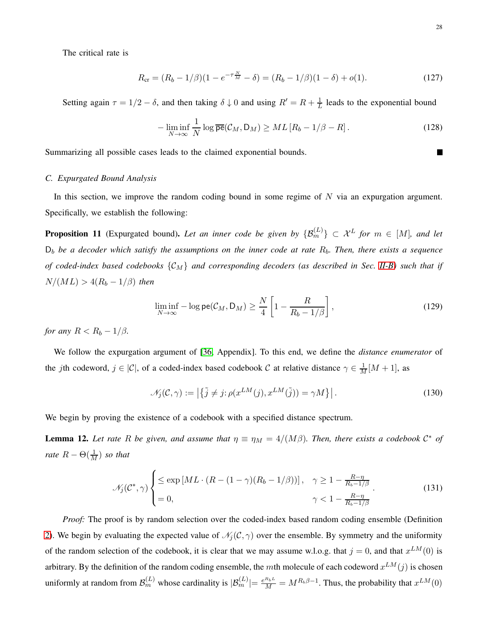The critical rate is

$$
R_{\rm cr} = (R_b - 1/\beta)(1 - e^{-\tau \frac{N}{M}} - \delta) = (R_b - 1/\beta)(1 - \delta) + o(1). \tag{127}
$$

Setting again  $\tau = 1/2 - \delta$ , and then taking  $\delta \downarrow 0$  and using  $R' = R + \frac{1}{L}$  $\frac{1}{L}$  leads to the exponential bound

$$
-\liminf_{N\to\infty}\frac{1}{N}\log\overline{\mathsf{pe}}(\mathcal{C}_M,\mathsf{D}_M)\geq ML\left[R_b-1/\beta-R\right].\tag{128}
$$

<span id="page-27-1"></span>Summarizing all possible cases leads to the claimed exponential bounds.

### *C. Expurgated Bound Analysis*

In this section, we improve the random coding bound in some regime of  $N$  via an expurgation argument. Specifically, we establish the following:

<span id="page-27-0"></span>**Proposition 11** (Expurgated bound). Let an inner code be given by  $\{\mathcal{B}_m^{(L)}\}\subset \mathcal{X}^L$  for  $m\in [M]$ , and let D<sup>b</sup> *be a decoder which satisfy the assumptions on the inner code at rate* Rb*. Then, there exists a sequence of coded-index based codebooks* {CM} *and corresponding decoders (as described in Sec. [II-B\)](#page-5-2) such that if*  $N/(ML) > 4(R_b - 1/\beta)$  *then* 

$$
\liminf_{N \to \infty} -\log \mathsf{pe}(\mathcal{C}_M, \mathsf{D}_M) \ge \frac{N}{4} \left[ 1 - \frac{R}{R_b - 1/\beta} \right],\tag{129}
$$

*for any*  $R < R_b - 1/\beta$ *.* 

We follow the expurgation argument of [\[36,](#page-35-9) Appendix]. To this end, we define the *distance enumerator* of the jth codeword,  $j \in |\mathcal{C}|$ , of a coded-index based codebook C at relative distance  $\gamma \in \frac{1}{M}[M+1]$ , as

$$
\mathcal{N}_j(\mathcal{C}, \gamma) := \left| \{ \tilde{j} \neq j : \rho(x^{LM}(j), x^{LM}(\tilde{j})) = \gamma M \} \right|.
$$
 (130)

We begin by proving the existence of a codebook with a specified distance spectrum.

<span id="page-27-2"></span>**Lemma 12.** Let rate R be given, and assume that  $\eta \equiv \eta_M = 4/(M\beta)$ . Then, there exists a codebook  $\mathcal{C}^*$  of *rate*  $R - \Theta(\frac{1}{M})$  *so that* 

$$
\mathcal{N}_j(\mathcal{C}^*, \gamma) \begin{cases} \le \exp\left[ML \cdot (R - (1 - \gamma)(R_b - 1/\beta))\right], & \gamma \ge 1 - \frac{R - \eta}{R_b - 1/\beta} \\ = 0, & \gamma < 1 - \frac{R - \eta}{R_b - 1/\beta} \end{cases} (131)
$$

*Proof:* The proof is by random selection over the coded-index based random coding ensemble (Definition [2\)](#page-8-2). We begin by evaluating the expected value of  $\mathcal{N}_j(\mathcal{C}, \gamma)$  over the ensemble. By symmetry and the uniformity of the random selection of the codebook, it is clear that we may assume w.l.o.g. that  $j = 0$ , and that  $x^{LM}(0)$  is arbitrary. By the definition of the random coding ensemble, the mth molecule of each codeword  $x^{LM}(j)$  is chosen uniformly at random from  $\mathcal{B}_m^{(L)}$  whose cardinality is  $|\mathcal{B}_m^{(L)}| = \frac{e^{R_b L}}{M} = M^{R_b \beta - 1}$ . Thus, the probability that  $x^{LM}(0)$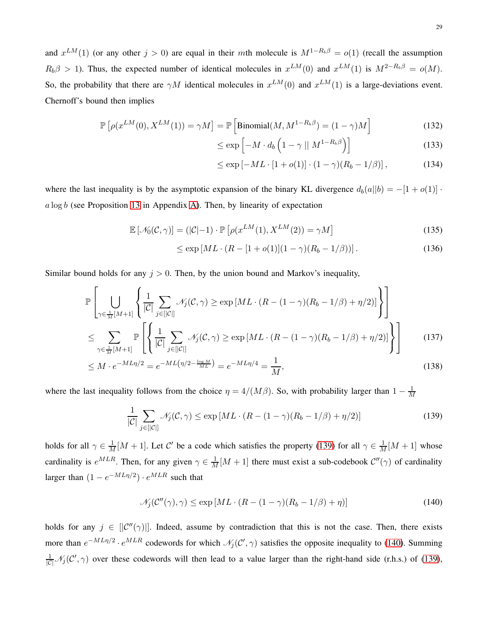and  $x^{LM}(1)$  (or any other  $j > 0$ ) are equal in their mth molecule is  $M^{1-R_b\beta} = o(1)$  (recall the assumption  $R_b\beta > 1$ ). Thus, the expected number of identical molecules in  $x^{LM}(0)$  and  $x^{LM}(1)$  is  $M^{2-R_b\beta} = o(M)$ . So, the probability that there are  $\gamma M$  identical molecules in  $x^{LM}(0)$  and  $x^{LM}(1)$  is a large-deviations event. Chernoff's bound then implies

$$
\mathbb{P}\left[\rho(x^{LM}(0), X^{LM}(1)) = \gamma M\right] = \mathbb{P}\left[\text{Binomial}(M, M^{1-R_b \beta}) = (1 - \gamma)M\right]
$$
\n(132)

$$
\leq \exp\left[-M \cdot d_b \left(1 - \gamma \mid M^{1 - R_b \beta}\right)\right] \tag{133}
$$

$$
\leq \exp[-ML \cdot [1 + o(1)] \cdot (1 - \gamma)(R_b - 1/\beta)], \tag{134}
$$

where the last inequality is by the asymptotic expansion of the binary KL divergence  $d_b(a||b) = -[1 + o(1)]$ .  $a \log b$  (see Proposition [13](#page-32-0) in Appendix [A\)](#page-32-1). Then, by linearity of expectation

$$
\mathbb{E}\left[\mathcal{N}_0(\mathcal{C}, \gamma)\right] = \left(|\mathcal{C}| - 1\right) \cdot \mathbb{P}\left[\rho(x^{LM}(1), X^{LM}(2)) = \gamma M\right]
$$
\n(135)

$$
\leq \exp\left[ML \cdot (R - [1 + o(1)](1 - \gamma)(R_b - 1/\beta))\right]. \tag{136}
$$

Similar bound holds for any  $j > 0$ . Then, by the union bound and Markov's inequality,

$$
\mathbb{P}\left[\bigcup_{\gamma\in\frac{1}{M}[M+1]}\left\{\frac{1}{|\mathcal{C}|}\sum_{j\in[|\mathcal{C}|]}\mathcal{N}_j(\mathcal{C},\gamma)\geq \exp\left[ML\cdot(R-(1-\gamma)(R_b-1/\beta)+\eta/2)\right]\right\}\right]
$$
\n
$$
\leq \sum_{\gamma\in\frac{1}{M}[M+1]}\mathbb{P}\left[\left\{\frac{1}{|\mathcal{C}|}\sum_{j\in[|\mathcal{C}|]}\mathcal{N}_j(\mathcal{C},\gamma)\geq \exp\left[ML\cdot(R-(1-\gamma)(R_b-1/\beta)+\eta/2)\right]\right\}\right]
$$
\n(137)

$$
\leq M \cdot e^{-ML\eta/2} = e^{-ML\left(\eta/2 - \frac{\log M}{ML}\right)} = e^{-ML\eta/4} = \frac{1}{M},\tag{138}
$$

where the last inequality follows from the choice  $\eta = 4/(M\beta)$ . So, with probability larger than  $1 - \frac{1}{M}$ M

<span id="page-28-0"></span>
$$
\frac{1}{|\mathcal{C}|} \sum_{j \in [|\mathcal{C}|]} \mathcal{N}_j(\mathcal{C}, \gamma) \le \exp\left[ ML \cdot (R - (1 - \gamma)(R_b - 1/\beta) + \eta/2) \right] \tag{139}
$$

holds for all  $\gamma \in \frac{1}{M}[M+1]$ . Let C' be a code which satisfies the property [\(139\)](#page-28-0) for all  $\gamma \in \frac{1}{M}[M+1]$  whose cardinality is  $e^{MLR}$ . Then, for any given  $\gamma \in \frac{1}{M}[M+1]$  there must exist a sub-codebook  $\mathcal{C}''(\gamma)$  of cardinality larger than  $(1 - e^{-ML\eta/2}) \cdot e^{MLR}$  such that

<span id="page-28-1"></span>
$$
\mathcal{N}_j(\mathcal{C}''(\gamma), \gamma) \le \exp\left[ML \cdot (R - (1 - \gamma)(R_b - 1/\beta) + \eta)\right]
$$
\n(140)

holds for any  $j \in [C''(\gamma)]$ . Indeed, assume by contradiction that this is not the case. Then, there exists more than  $e^{-ML\eta/2} \cdot e^{MLR}$  codewords for which  $\mathcal{N}_j(\mathcal{C}', \gamma)$  satisfies the opposite inequality to [\(140\)](#page-28-1). Summing  $\frac{1}{|C|}$   $\mathcal{N}_j(C', \gamma)$  over these codewords will then lead to a value larger than the right-hand side (r.h.s.) of [\(139\)](#page-28-0),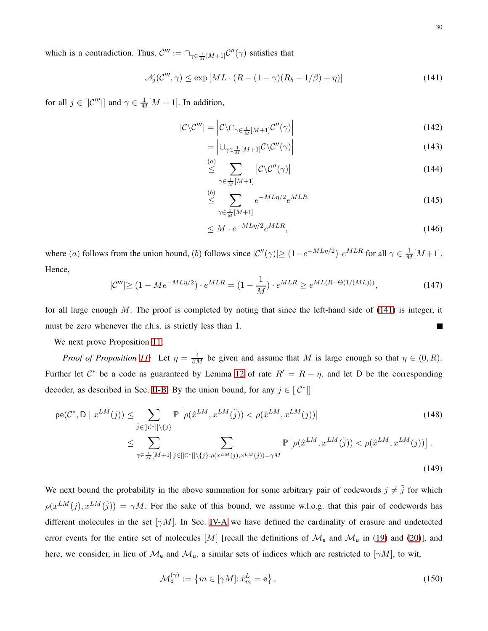which is a contradiction. Thus,  $\mathcal{C}''' := \bigcap_{\gamma \in \frac{1}{M}[M+1]} \mathcal{C}''(\gamma)$  satisfies that

<span id="page-29-0"></span>
$$
\mathcal{N}_j(\mathcal{C}''', \gamma) \le \exp\left[ML \cdot (R - (1 - \gamma)(R_b - 1/\beta) + \eta)\right]
$$
\n(141)

for all  $j \in [|\mathcal{C}'''|]$  and  $\gamma \in \frac{1}{M}[M+1]$ . In addition,

$$
|\mathcal{C}\backslash\mathcal{C}'''| = \left|\mathcal{C}\backslash\cap_{\gamma\in\frac{1}{M}[M+1]}\mathcal{C}''(\gamma)\right|
$$
\n(142)

$$
= \left| \bigcup_{\gamma \in \frac{1}{M}[M+1]} \mathcal{C} \backslash \mathcal{C}''(\gamma) \right| \tag{143}
$$

$$
\stackrel{(a)}{\leq} \sum_{\gamma \in \frac{1}{M}[M+1]} |C \backslash C''(\gamma)| \tag{144}
$$

$$
\stackrel{(b)}{\leq} \sum_{\gamma \in \frac{1}{M}[M+1]} e^{-ML\eta/2} e^{MLR} \tag{145}
$$

$$
\leq M \cdot e^{-ML\eta/2} e^{MLR},\tag{146}
$$

where (a) follows from the union bound, (b) follows since  $|\mathcal{C}''(\gamma)| \ge (1 - e^{-ML\eta/2}) \cdot e^{MLR}$  for all  $\gamma \in \frac{1}{M}[M+1]$ . Hence,

$$
|\mathcal{C}'''| \ge (1 - Me^{-ML\eta/2}) \cdot e^{MLR} = (1 - \frac{1}{M}) \cdot e^{MLR} \ge e^{ML(R - \Theta(1/(ML)))},\tag{147}
$$

for all large enough  $M$ . The proof is completed by noting that since the left-hand side of  $(141)$  is integer, it must be zero whenever the r.h.s. is strictly less than 1.  $\blacksquare$ 

We next prove Proposition [11:](#page-27-0)

*Proof of Proposition [11:](#page-27-0)* Let  $\eta = \frac{4}{\beta M}$  be given and assume that M is large enough so that  $\eta \in (0, R)$ . Further let  $C^*$  be a code as guaranteed by Lemma [12](#page-27-2) of rate  $R' = R - \eta$ , and let D be the corresponding decoder, as described in Sec. [II-B.](#page-5-2) By the union bound, for any  $j \in [[\mathcal{C}^*]]$ 

$$
\mathsf{pe}(\mathcal{C}^*, \mathsf{D} \mid x^{LM}(j)) \leq \sum_{\tilde{j} \in [[\mathcal{C}^*]] \setminus \{j\}} \mathbb{P}\left[\rho(\hat{x}^{LM}, x^{LM}(\tilde{j})) < \rho(\hat{x}^{LM}, x^{LM}(j))\right] \leq \sum_{\gamma \in \frac{1}{M}[M+1]}\sum_{\tilde{j} \in [[\mathcal{C}^*]] \setminus \{j\}: \rho(x^{LM}(j), x^{LM}(\tilde{j})) = \gamma M} \mathbb{P}\left[\rho(\hat{x}^{LM}, x^{LM}(\tilde{j})) < \rho(\hat{x}^{LM}, x^{LM}(j))\right]. \tag{149}
$$

We next bound the probability in the above summation for some arbitrary pair of codewords  $j \neq \tilde{j}$  for which  $\rho(x^{LM}(j), x^{LM}(\tilde{j})) = \gamma M$ . For the sake of this bound, we assume w.l.o.g. that this pair of codewords has different molecules in the set  $[\gamma M]$ . In Sec. [IV-A](#page-11-2) we have defined the cardinality of erasure and undetected error events for the entire set of molecules [M] [recall the definitions of  $\mathcal{M}_e$  and  $\mathcal{M}_u$  in [\(19\)](#page-13-3) and [\(20\)](#page-13-4)], and here, we consider, in lieu of  $\mathcal{M}_e$  and  $\mathcal{M}_u$ , a similar sets of indices which are restricted to  $[\gamma M]$ , to wit,

$$
\mathcal{M}_{\mathsf{e}}^{(\gamma)} := \left\{ m \in [\gamma M] : \hat{x}_m^L = \mathsf{e} \right\},\tag{150}
$$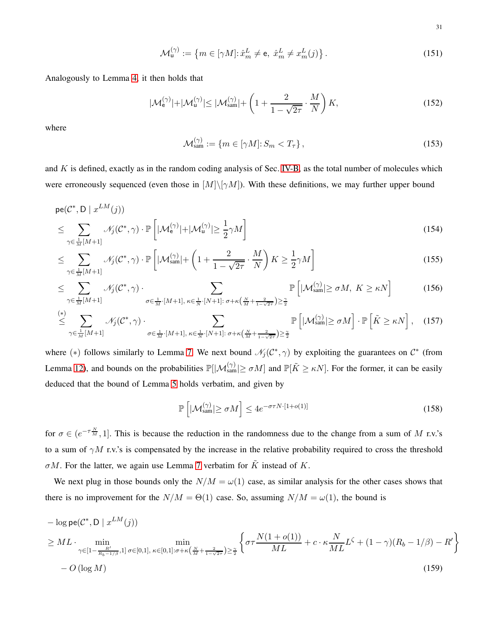31

$$
\mathcal{M}_{\mathsf{u}}^{(\gamma)} := \left\{ m \in [\gamma M] : \hat{x}_m^L \neq \mathsf{e}, \ \hat{x}_m^L \neq x_m^L(j) \right\}. \tag{151}
$$

Analogously to Lemma [4,](#page-13-0) it then holds that

$$
|\mathcal{M}_e^{(\gamma)}| + |\mathcal{M}_u^{(\gamma)}| \le |\mathcal{M}_{sam}^{(\gamma)}| + \left(1 + \frac{2}{1 - \sqrt{2\tau}} \cdot \frac{M}{N}\right) K,\tag{152}
$$

where

$$
\mathcal{M}_{\text{sam}}^{(\gamma)} := \{ m \in [\gamma M] : S_m < T_\tau \},\tag{153}
$$

and  $K$  is defined, exactly as in the random coding analysis of Sec. [IV-B,](#page-19-0) as the total number of molecules which were erroneously sequenced (even those in  $[M] \setminus [\gamma M]$ ). With these definitions, we may further upper bound

$$
\begin{aligned} \mathsf{pe}(\mathcal{C}^*, \mathsf{D} \mid x^{LM}(j)) \\ &\leq \sum_{\gamma \in \frac{1}{M}[M+1]} \mathcal{N}_j(\mathcal{C}^*, \gamma) \cdot \mathbb{P}\left[|\mathcal{M}_e^{(\gamma)}| + |\mathcal{M}_u^{(\gamma)}| \geq \frac{1}{2}\gamma M\right] \end{aligned} \tag{154}
$$

$$
\leq \sum_{\gamma \in \frac{1}{M}[M+1]} \mathcal{N}_j(\mathcal{C}^*, \gamma) \cdot \mathbb{P}\left[|\mathcal{M}_{sam}^{(\gamma)}| + \left(1 + \frac{2}{1 - \sqrt{2\tau}} \cdot \frac{M}{N}\right)K \geq \frac{1}{2}\gamma M\right]
$$
\n(155)

$$
\leq \sum_{\gamma \in \frac{1}{M}[M+1]} \mathcal{N}_j(\mathcal{C}^*, \gamma) \cdot \sum_{\sigma \in \frac{1}{M} \cdot [M+1], \kappa \in \frac{1}{N} \cdot [N+1] : \sigma + \kappa \left(\frac{N}{M} + \frac{2}{1-\sqrt{2\tau}}\right) \geq \frac{\gamma}{2}} \mathbb{P}\left[|\mathcal{M}_{sam}^{(\gamma)}| \geq \sigma M, K \geq \kappa N\right]
$$
(156)

$$
\stackrel{(*)}{\leq} \sum_{\gamma \in \frac{1}{M}[M+1]} \mathcal{N}_j(\mathcal{C}^*, \gamma) \cdot \sum_{\sigma \in \frac{1}{M} \cdot [M+1], \kappa \in \frac{1}{N} \cdot [N+1] : \sigma + \kappa \left(\frac{N}{M} + \frac{2}{1-\sqrt{2\tau}}\right) \geq \frac{\gamma}{2}} \mathbb{P}\left[|\mathcal{M}_{\text{sam}}^{(\gamma)}| \geq \sigma M\right] \cdot \mathbb{P}\left[\tilde{K} \geq \kappa N\right], \quad (157)
$$

where (\*) follows similarly to Lemma [7.](#page-17-0) We next bound  $\mathcal{N}_j(\mathcal{C}^*, \gamma)$  by exploiting the guarantees on  $\mathcal{C}^*$  (from Lemma [12\)](#page-27-2), and bounds on the probabilities  $\mathbb{P}[|\mathcal{M}_{sam}^{(\gamma)}| \ge \sigma M]$  and  $\mathbb{P}[\tilde{K} \ge \kappa N]$ . For the former, it can be easily deduced that the bound of Lemma [5](#page-14-0) holds verbatim, and given by

$$
\mathbb{P}\left[|\mathcal{M}_{\text{sam}}^{(\gamma)}| \ge \sigma M\right] \le 4e^{-\sigma\tau N \cdot [1+o(1)]} \tag{158}
$$

for  $\sigma \in (e^{-\tau \frac{N}{M}}, 1]$ . This is because the reduction in the randomness due to the change from a sum of M r.v.'s to a sum of  $\gamma M$  r.v.'s is compensated by the increase in the relative probability required to cross the threshold  $\sigma M$ . For the latter, we again use Lemma [7](#page-17-0) verbatim for  $\tilde{K}$  instead of K.

We next plug in those bounds only the  $N/M = \omega(1)$  case, as similar analysis for the other cases shows that there is no improvement for the  $N/M = \Theta(1)$  case. So, assuming  $N/M = \omega(1)$ , the bound is

$$
- \log \mathsf{pe}(\mathcal{C}^*, \mathsf{D} \mid x^{LM}(j))
$$
  
\n
$$
\geq ML \cdot \min_{\gamma \in [1 - \frac{R'}{R_b - 1/\beta}, 1]} \min_{\sigma \in [0,1], \kappa \in [0,1]: \sigma + \kappa(\frac{N}{M} + \frac{2}{1 - \sqrt{2\tau}}) \geq \frac{\pi}{2}} \left\{ \sigma \tau \frac{N(1 + o(1))}{ML} + c \cdot \kappa \frac{N}{ML} L^{\zeta} + (1 - \gamma)(R_b - 1/\beta) - R' \right\}
$$
  
\n
$$
- O(\log M)
$$
\n(159)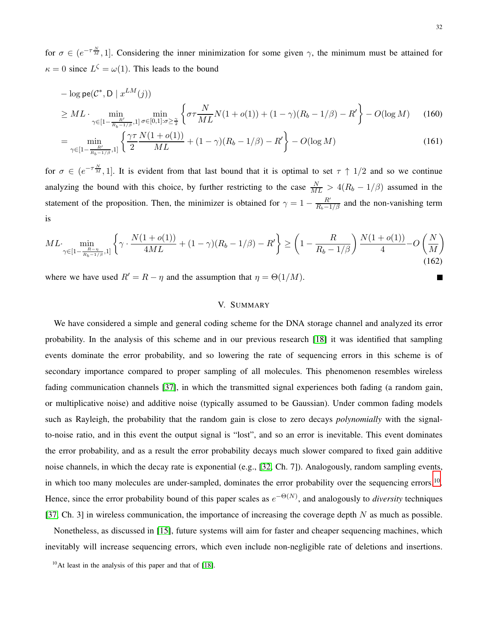for  $\sigma \in (e^{-\tau \frac{N}{M}}, 1]$ . Considering the inner minimization for some given  $\gamma$ , the minimum must be attained for  $\kappa = 0$  since  $L^{\zeta} = \omega(1)$ . This leads to the bound

$$
- \log \mathsf{pe}(\mathcal{C}^*, \mathsf{D} \mid x^{LM}(j))
$$
  
\n
$$
\geq ML \cdot \min_{\gamma \in [1 - \frac{R'}{R_b - 1/\beta}, 1]} \min_{\sigma \in [0, 1]: \sigma \geq \frac{\gamma}{2}} \left\{ \sigma \tau \frac{N}{ML} N(1 + o(1)) + (1 - \gamma)(R_b - 1/\beta) - R' \right\} - O(\log M) \quad (160)
$$

$$
= \min_{\gamma \in [1 - \frac{R'}{R_b - 1/\beta}, 1]} \left\{ \frac{\gamma \tau}{2} \frac{N(1 + o(1))}{ML} + (1 - \gamma)(R_b - 1/\beta) - R' \right\} - O(\log M) \tag{161}
$$

for  $\sigma \in (e^{-\tau \frac{N}{M}}, 1]$ . It is evident from that last bound that it is optimal to set  $\tau \uparrow 1/2$  and so we continue analyzing the bound with this choice, by further restricting to the case  $\frac{N}{ML} > 4(R_b - 1/\beta)$  assumed in the statement of the proposition. Then, the minimizer is obtained for  $\gamma = 1 - \frac{R'}{R_b - 1/\beta}$  and the non-vanishing term is

$$
ML \cdot \min_{\gamma \in [1 - \frac{R - \eta}{R_b - 1/\beta}, 1]} \left\{ \gamma \cdot \frac{N(1 + o(1))}{4ML} + (1 - \gamma)(R_b - 1/\beta) - R' \right\} \ge \left(1 - \frac{R}{R_b - 1/\beta}\right) \frac{N(1 + o(1))}{4} - O\left(\frac{N}{M}\right)
$$
(162)

<span id="page-31-0"></span>where we have used  $R' = R - \eta$  and the assumption that  $\eta = \Theta(1/M)$ .

# V. SUMMARY

We have considered a simple and general coding scheme for the DNA storage channel and analyzed its error probability. In the analysis of this scheme and in our previous research [\[18\]](#page-34-7) it was identified that sampling events dominate the error probability, and so lowering the rate of sequencing errors in this scheme is of secondary importance compared to proper sampling of all molecules. This phenomenon resembles wireless fading communication channels [\[37\]](#page-35-10), in which the transmitted signal experiences both fading (a random gain, or multiplicative noise) and additive noise (typically assumed to be Gaussian). Under common fading models such as Rayleigh, the probability that the random gain is close to zero decays *polynomially* with the signalto-noise ratio, and in this event the output signal is "lost", and so an error is inevitable. This event dominates the error probability, and as a result the error probability decays much slower compared to fixed gain additive noise channels, in which the decay rate is exponential (e.g., [\[32,](#page-35-5) Ch. 7]). Analogously, random sampling events, in which too many molecules are under-sampled, dominates the error probability over the sequencing errors.<sup>[10](#page-31-1)</sup>. Hence, since the error probability bound of this paper scales as  $e^{-\Theta(N)}$ , and analogously to *diversity* techniques [\[37,](#page-35-10) Ch. 3] in wireless communication, the importance of increasing the coverage depth  $N$  as much as possible.

Nonetheless, as discussed in [\[15\]](#page-34-5), future systems will aim for faster and cheaper sequencing machines, which inevitably will increase sequencing errors, which even include non-negligible rate of deletions and insertions.

<span id="page-31-1"></span> $10$ At least in the analysis of this paper and that of [\[18\]](#page-34-7).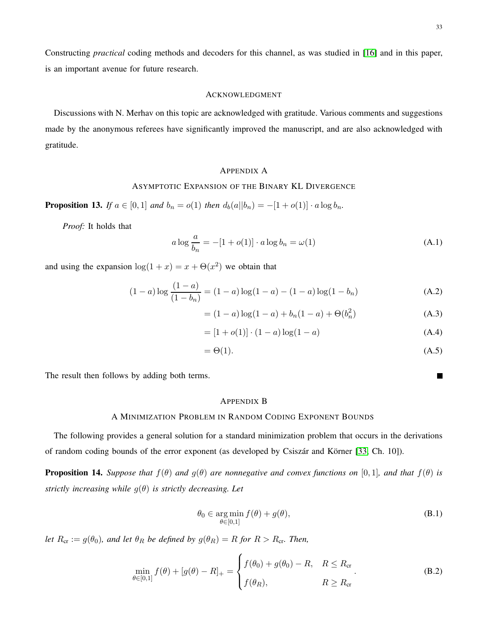п

Constructing *practical* coding methods and decoders for this channel, as was studied in [\[16\]](#page-34-6) and in this paper, is an important avenue for future research.

# ACKNOWLEDGMENT

Discussions with N. Merhav on this topic are acknowledged with gratitude. Various comments and suggestions made by the anonymous referees have significantly improved the manuscript, and are also acknowledged with gratitude.

## <span id="page-32-1"></span>APPENDIX A

# ASYMPTOTIC EXPANSION OF THE BINARY KL DIVERGENCE

<span id="page-32-0"></span>**Proposition 13.** *If*  $a \in [0, 1]$  *and*  $b_n = o(1)$  *then*  $d_b(a||b_n) = -[1 + o(1)] \cdot a \log b_n$ .

*Proof:* It holds that

$$
a \log \frac{a}{b_n} = -[1 + o(1)] \cdot a \log b_n = \omega(1) \tag{A.1}
$$

and using the expansion  $log(1 + x) = x + \Theta(x^2)$  we obtain that

$$
(1-a)\log\frac{(1-a)}{(1-b_n)} = (1-a)\log(1-a) - (1-a)\log(1-b_n)
$$
\n(A.2)

$$
= (1 - a) \log(1 - a) + b_n(1 - a) + \Theta(b_n^2)
$$
 (A.3)

$$
= [1 + o(1)] \cdot (1 - a) \log(1 - a)
$$
 (A.4)

$$
=\Theta(1).\tag{A.5}
$$

The result then follows by adding both terms.

#### <span id="page-32-3"></span>APPENDIX B

# A MINIMIZATION PROBLEM IN RANDOM CODING EXPONENT BOUNDS

The following provides a general solution for a standard minimization problem that occurs in the derivations of random coding bounds of the error exponent (as developed by Csiszár and Körner [\[33,](#page-35-6) Ch. 10]).

<span id="page-32-2"></span>**Proposition 14.** *Suppose that*  $f(\theta)$  *and*  $g(\theta)$  *are nonnegative and convex functions on* [0,1]*, and that*  $f(\theta)$  *is strictly increasing while* g(θ) *is strictly decreasing. Let*

$$
\theta_0 \in \underset{\theta \in [0,1]}{\arg \min} f(\theta) + g(\theta),\tag{B.1}
$$

*let*  $R_{cr} := g(\theta_0)$ *, and let*  $\theta_R$  *be defined by*  $g(\theta_R) = R$  *for*  $R > R_{cr}$ *. Then,* 

$$
\min_{\theta \in [0,1]} f(\theta) + [g(\theta) - R]_+ = \begin{cases} f(\theta_0) + g(\theta_0) - R, & R \le R_{\text{cr}} \\ f(\theta_R), & R \ge R_{\text{cr}} \end{cases} . \tag{B.2}
$$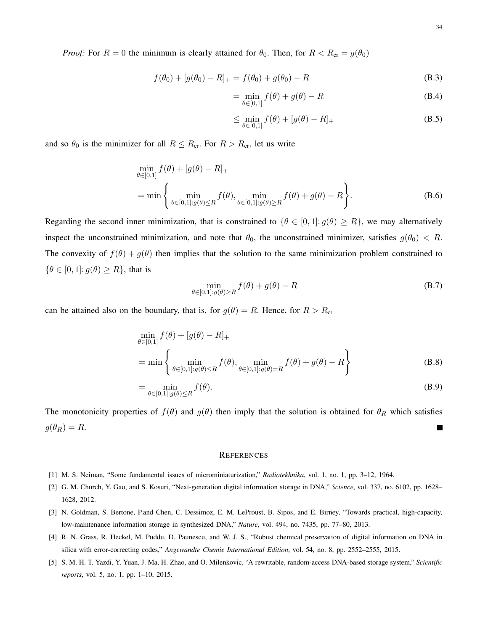*Proof:* For  $R = 0$  the minimum is clearly attained for  $\theta_0$ . Then, for  $R < R_{cr} = g(\theta_0)$ 

$$
f(\theta_0) + [g(\theta_0) - R]_+ = f(\theta_0) + g(\theta_0) - R
$$
 (B.3)

$$
= \min_{\theta \in [0,1]} f(\theta) + g(\theta) - R
$$
 (B.4)

$$
\leq \min_{\theta \in [0,1]} f(\theta) + [g(\theta) - R]_+\tag{B.5}
$$

and so  $\theta_0$  is the minimizer for all  $R \le R_{cr}$ . For  $R > R_{cr}$ , let us write

$$
\min_{\theta \in [0,1]} f(\theta) + [g(\theta) - R]_{+}
$$
\n
$$
= \min \left\{ \min_{\theta \in [0,1]: g(\theta) \le R} f(\theta), \min_{\theta \in [0,1]: g(\theta) \ge R} f(\theta) + g(\theta) - R \right\}.
$$
\n(B.6)

Regarding the second inner minimization, that is constrained to  $\{\theta \in [0,1]: g(\theta) \ge R\}$ , we may alternatively inspect the unconstrained minimization, and note that  $\theta_0$ , the unconstrained minimizer, satisfies  $g(\theta_0) < R$ . The convexity of  $f(\theta) + g(\theta)$  then implies that the solution to the same minimization problem constrained to  $\{\theta \in [0,1]: g(\theta) \geq R\}$ , that is

$$
\min_{\theta \in [0,1]: g(\theta) \ge R} f(\theta) + g(\theta) - R
$$
\n(B.7)

can be attained also on the boundary, that is, for  $g(\theta) = R$ . Hence, for  $R > R_{cr}$ 

$$
\min_{\theta \in [0,1]} f(\theta) + [g(\theta) - R]_{+}
$$
\n
$$
= \min \left\{ \min_{\theta \in [0,1]: g(\theta) \le R} f(\theta), \min_{\theta \in [0,1]: g(\theta) = R} f(\theta) + g(\theta) - R \right\}
$$
\n(B.8)

$$
= \min_{\theta \in [0,1]: g(\theta) \le R} f(\theta). \tag{B.9}
$$

The monotonicity properties of  $f(\theta)$  and  $g(\theta)$  then imply that the solution is obtained for  $\theta_R$  which satisfies  $g(\theta_R) = R.$ П

## **REFERENCES**

- <span id="page-33-1"></span><span id="page-33-0"></span>[1] M. S. Neiman, "Some fundamental issues of microminiaturization," *Radiotekhnika*, vol. 1, no. 1, pp. 3–12, 1964.
- [2] G. M. Church, Y. Gao, and S. Kosuri, "Next-generation digital information storage in DNA," *Science*, vol. 337, no. 6102, pp. 1628– 1628, 2012.
- <span id="page-33-2"></span>[3] N. Goldman, S. Bertone, P.and Chen, C. Dessimoz, E. M. LeProust, B. Sipos, and E. Birney, "Towards practical, high-capacity, low-maintenance information storage in synthesized DNA," *Nature*, vol. 494, no. 7435, pp. 77–80, 2013.
- [4] R. N. Grass, R. Heckel, M. Puddu, D. Paunescu, and W. J. S., "Robust chemical preservation of digital information on DNA in silica with error-correcting codes," *Angewandte Chemie International Edition*, vol. 54, no. 8, pp. 2552–2555, 2015.
- [5] S. M. H. T. Yazdi, Y. Yuan, J. Ma, H. Zhao, and O. Milenkovic, "A rewritable, random-access DNA-based storage system," *Scientific reports*, vol. 5, no. 1, pp. 1–10, 2015.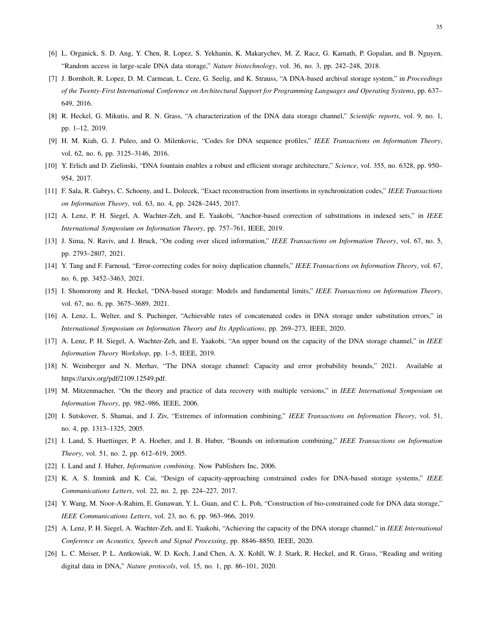- <span id="page-34-2"></span><span id="page-34-0"></span>[6] L. Organick, S. D. Ang, Y. Chen, R. Lopez, S. Yekhanin, K. Makarychev, M. Z. Racz, G. Kamath, P. Gopalan, and B. Nguyen, "Random access in large-scale DNA data storage," *Nature biotechnology*, vol. 36, no. 3, pp. 242–248, 2018.
- [7] J. Bornholt, R. Lopez, D. M. Carmean, L. Ceze, G. Seelig, and K. Strauss, "A DNA-based archival storage system," in *Proceedings of the Twenty-First International Conference on Architectural Support for Programming Languages and Operating Systems*, pp. 637– 649, 2016.
- <span id="page-34-3"></span><span id="page-34-1"></span>[8] R. Heckel, G. Mikutis, and R. N. Grass, "A characterization of the DNA data storage channel," *Scientific reports*, vol. 9, no. 1, pp. 1–12, 2019.
- <span id="page-34-14"></span>[9] H. M. Kiah, G. J. Puleo, and O. Milenkovic, "Codes for DNA sequence profiles," *IEEE Transactions on Information Theory*, vol. 62, no. 6, pp. 3125–3146, 2016.
- [10] Y. Erlich and D. Zielinski, "DNA fountain enables a robust and efficient storage architecture," *Science*, vol. 355, no. 6328, pp. 950– 954, 2017.
- [11] F. Sala, R. Gabrys, C. Schoeny, and L. Dolecek, "Exact reconstruction from insertions in synchronization codes," *IEEE Transactions on Information Theory*, vol. 63, no. 4, pp. 2428–2445, 2017.
- [12] A. Lenz, P. H. Siegel, A. Wachter-Zeh, and E. Yaakobi, "Anchor-based correction of substitutions in indexed sets," in *IEEE International Symposium on Information Theory*, pp. 757–761, IEEE, 2019.
- <span id="page-34-4"></span>[13] J. Sima, N. Raviv, and J. Bruck, "On coding over sliced information," *IEEE Transactions on Information Theory*, vol. 67, no. 5, pp. 2793–2807, 2021.
- <span id="page-34-5"></span>[14] Y. Tang and F. Farnoud, "Error-correcting codes for noisy duplication channels," *IEEE Transactions on Information Theory*, vol. 67, no. 6, pp. 3452–3463, 2021.
- <span id="page-34-6"></span>[15] I. Shomorony and R. Heckel, "DNA-based storage: Models and fundamental limits," *IEEE Transactions on Information Theory*, vol. 67, no. 6, pp. 3675–3689, 2021.
- <span id="page-34-8"></span>[16] A. Lenz, L. Welter, and S. Puchinger, "Achievable rates of concatenated codes in DNA storage under substitution errors," in *International Symposium on Information Theory and Its Applications*, pp. 269–273, IEEE, 2020.
- <span id="page-34-7"></span>[17] A. Lenz, P. H. Siegel, A. Wachter-Zeh, and E. Yaakobi, "An upper bound on the capacity of the DNA storage channel," in *IEEE Information Theory Workshop*, pp. 1–5, IEEE, 2019.
- <span id="page-34-9"></span>[18] N. Weinberger and N. Merhav, "The DNA storage channel: Capacity and error probability bounds," 2021. Available at https://arxiv.org/pdf/2109.12549.pdf.
- <span id="page-34-10"></span>[19] M. Mitzenmacher, "On the theory and practice of data recovery with multiple versions," in *IEEE International Symposium on Information Theory*, pp. 982–986, IEEE, 2006.
- [20] I. Sutskover, S. Shamai, and J. Ziv, "Extremes of information combining," *IEEE Transactions on Information Theory*, vol. 51, no. 4, pp. 1313–1325, 2005.
- <span id="page-34-11"></span>[21] I. Land, S. Huettinger, P. A. Hoeher, and J. B. Huber, "Bounds on information combining," *IEEE Transactions on Information Theory*, vol. 51, no. 2, pp. 612–619, 2005.
- <span id="page-34-12"></span>[22] I. Land and J. Huber, *Information combining*. Now Publishers Inc, 2006.
- <span id="page-34-13"></span>[23] K. A. S. Immink and K. Cai, "Design of capacity-approaching constrained codes for DNA-based storage systems," *IEEE Communications Letters*, vol. 22, no. 2, pp. 224–227, 2017.
- <span id="page-34-15"></span>[24] Y. Wang, M. Noor-A-Rahim, E. Gunawan, Y. L. Guan, and C. L. Poh, "Construction of bio-constrained code for DNA data storage," *IEEE Communications Letters*, vol. 23, no. 6, pp. 963–966, 2019.
- <span id="page-34-16"></span>[25] A. Lenz, P. H. Siegel, A. Wachter-Zeh, and E. Yaakohi, "Achieving the capacity of the DNA storage channel," in *IEEE International Conference on Acoustics, Speech and Signal Processing*, pp. 8846–8850, IEEE, 2020.
- [26] L. C. Meiser, P. L. Antkowiak, W. D. Koch, J.and Chen, A. X. Kohll, W. J. Stark, R. Heckel, and R. Grass, "Reading and writing digital data in DNA," *Nature protocols*, vol. 15, no. 1, pp. 86–101, 2020.